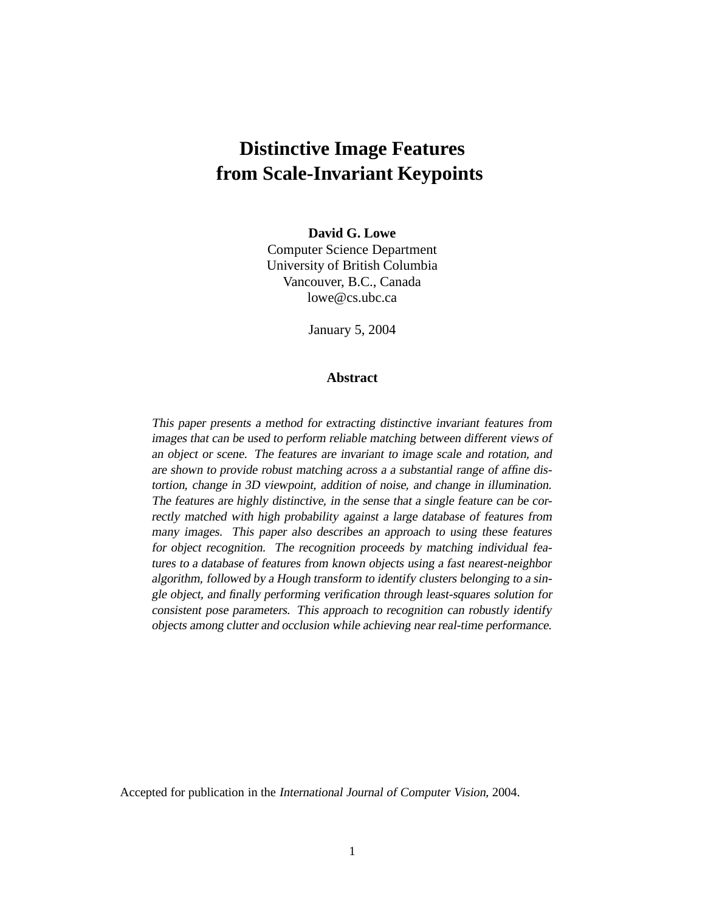# **Distinctive Image Features from Scale-Invariant Keypoints**

**David G. Lowe**

Computer Science Department University of British Columbia Vancouver, B.C., Canada lowe@cs.ubc.ca

January 5, 2004

#### **Abstract**

This paper presents <sup>a</sup> method for extracting distinctive invariant features from images that can be used to perform reliable matching between different views of an object or scene. The features are invariant to image scale and rotation, and are shown to provide robust matching across <sup>a</sup> <sup>a</sup> substantial range of affine distortion, change in 3D viewpoint, addition of noise, and change in illumination. The features are highly distinctive, in the sense that <sup>a</sup> single feature can be correctly matched with high probability against <sup>a</sup> large database of features from many images. This paper also describes an approach to using these features for object recognition. The recognition proceeds by matching individual features to <sup>a</sup> database of features from known objects using <sup>a</sup> fast nearest-neighbor algorithm, followed by <sup>a</sup> Hough transform to identify clusters belonging to <sup>a</sup> single object, and finally performing verification through least-squares solution for consistent pose parameters. This approach to recognition can robustly identify objects among clutter and occlusion while achieving near real-time performance.

Accepted for publication in the International Journal of Computer Vision, 2004.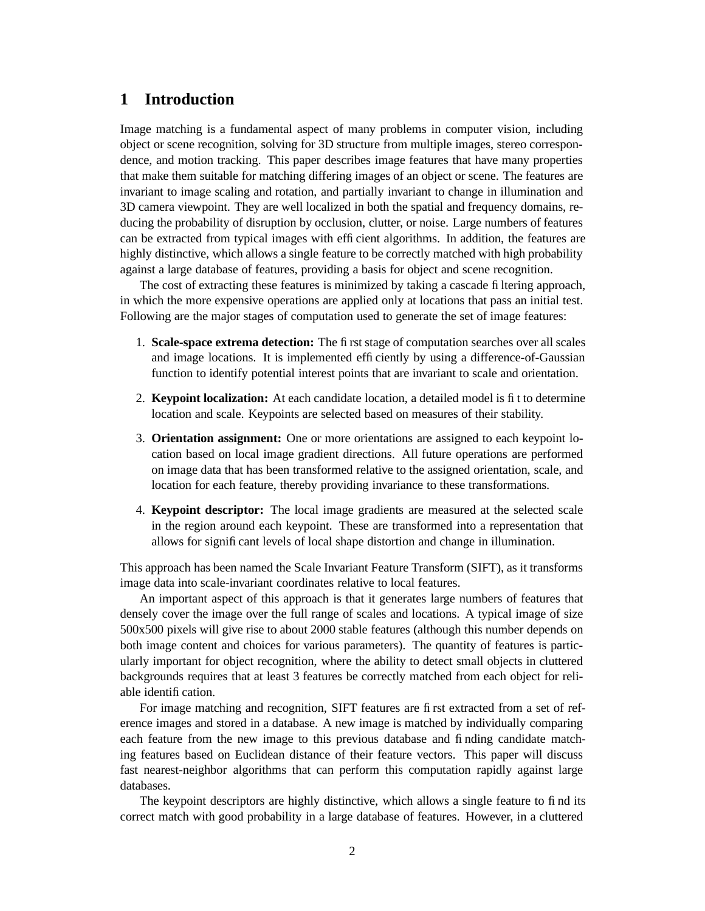# **1 Introduction**

Image matching is a fundamental aspect of many problems in computer vision, including object or scene recognition, solving for 3D structure from multiple images, stereo correspondence, and motion tracking. This paper describes image features that have many properties that make them suitable for matching differing images of an object or scene. The features are invariant to image scaling and rotation, and partially invariant to change in illumination and 3D camera viewpoint. They are well localized in both the spatial and frequency domains, reducing the probability of disruption by occlusion, clutter, or noise. Large numbers of features can be extracted from typical images with efficient algorithms. In addition, the features are highly distinctive, which allows a single feature to be correctly matched with high probability against a large database of features, providing a basis for object and scene recognition.

The cost of extracting these features is minimized by taking a cascade filtering approach, in which the more expensive operations are applied only at locations that pass an initial test. Following are the major stages of computation used to generate the set of image features:

- 1. **Scale-space extrema detection:** The first stage of computation searches over all scales and image locations. It is implemented efficiently by using a difference-of-Gaussian function to identify potential interest points that are invariant to scale and orientation.
- 2. **Keypoint localization:** At each candidate location, a detailed model is fit to determine location and scale. Keypoints are selected based on measures of their stability.
- 3. **Orientation assignment:** One or more orientations are assigned to each keypoint location based on local image gradient directions. All future operations are performed on image data that has been transformed relative to the assigned orientation, scale, and location for each feature, thereby providing invariance to these transformations.
- 4. **Keypoint descriptor:** The local image gradients are measured at the selected scale in the region around each keypoint. These are transformed into a representation that allows for significant levels of local shape distortion and change in illumination.

This approach has been named the Scale Invariant Feature Transform (SIFT), as it transforms image data into scale-invariant coordinates relative to local features.

An important aspect of this approach is that it generates large numbers of features that densely cover the image over the full range of scales and locations. A typical image of size 500x500 pixels will give rise to about 2000 stable features (although this number depends on both image content and choices for various parameters). The quantity of features is particularly important for object recognition, where the ability to detect small objects in cluttered backgrounds requires that at least 3 features be correctly matched from each object for reliable identification.

For image matching and recognition, SIFT features are first extracted from a set of reference images and stored in a database. A new image is matched by individually comparing each feature from the new image to this previous database and finding candidate matching features based on Euclidean distance of their feature vectors. This paper will discuss fast nearest-neighbor algorithms that can perform this computation rapidly against large databases.

The keypoint descriptors are highly distinctive, which allows a single feature to find its correct match with good probability in a large database of features. However, in a cluttered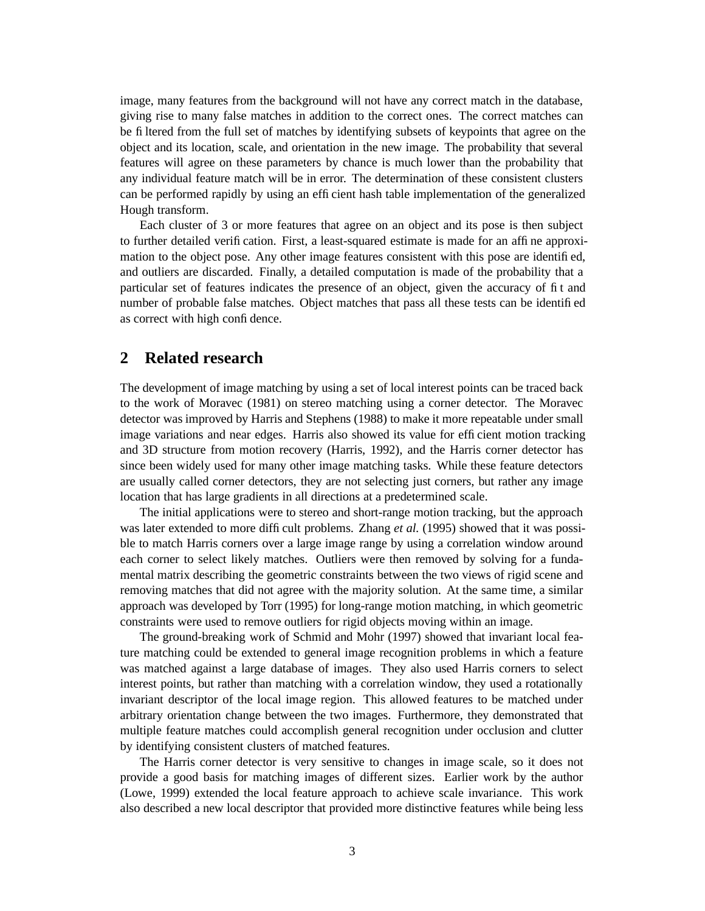image, many features from the background will not have any correct match in the database, giving rise to many false matches in addition to the correct ones. The correct matches can be filtered from the full set of matches by identifying subsets of keypoints that agree on the object and its location, scale, and orientation in the new image. The probability that several features will agree on these parameters by chance is much lower than the probability that any individual feature match will be in error. The determination of these consistent clusters can be performed rapidly by using an efficient hash table implementation of the generalized Hough transform.

Each cluster of 3 or more features that agree on an object and its pose is then subject to further detailed verification. First, a least-squared estimate is made for an affine approximation to the object pose. Any other image features consistent with this pose are identified, and outliers are discarded. Finally, a detailed computation is made of the probability that a particular set of features indicates the presence of an object, given the accuracy of fit and number of probable false matches. Object matches that pass all these tests can be identified as correct with high confidence.

### **2 Related research**

The development of image matching by using a set of local interest points can be traced back to the work of Moravec (1981) on stereo matching using a corner detector. The Moravec detector was improved by Harris and Stephens (1988) to make it more repeatable under small image variations and near edges. Harris also showed its value for efficient motion tracking and 3D structure from motion recovery (Harris, 1992), and the Harris corner detector has since been widely used for many other image matching tasks. While these feature detectors are usually called corner detectors, they are not selecting just corners, but rather any image location that has large gradients in all directions at a predetermined scale.

The initial applications were to stereo and short-range motion tracking, but the approach was later extended to more difficult problems. Zhang *et al.* (1995) showed that it was possible to match Harris corners over a large image range by using a correlation window around each corner to select likely matches. Outliers were then removed by solving for a fundamental matrix describing the geometric constraints between the two views of rigid scene and removing matches that did not agree with the majority solution. At the same time, a similar approach was developed by Torr (1995) for long-range motion matching, in which geometric constraints were used to remove outliers for rigid objects moving within an image.

The ground-breaking work of Schmid and Mohr (1997) showed that invariant local feature matching could be extended to general image recognition problems in which a feature was matched against a large database of images. They also used Harris corners to select interest points, but rather than matching with a correlation window, they used a rotationally invariant descriptor of the local image region. This allowed features to be matched under arbitrary orientation change between the two images. Furthermore, they demonstrated that multiple feature matches could accomplish general recognition under occlusion and clutter by identifying consistent clusters of matched features.

The Harris corner detector is very sensitive to changes in image scale, so it does not provide a good basis for matching images of different sizes. Earlier work by the author (Lowe, 1999) extended the local feature approach to achieve scale invariance. This work also described a new local descriptor that provided more distinctive features while being less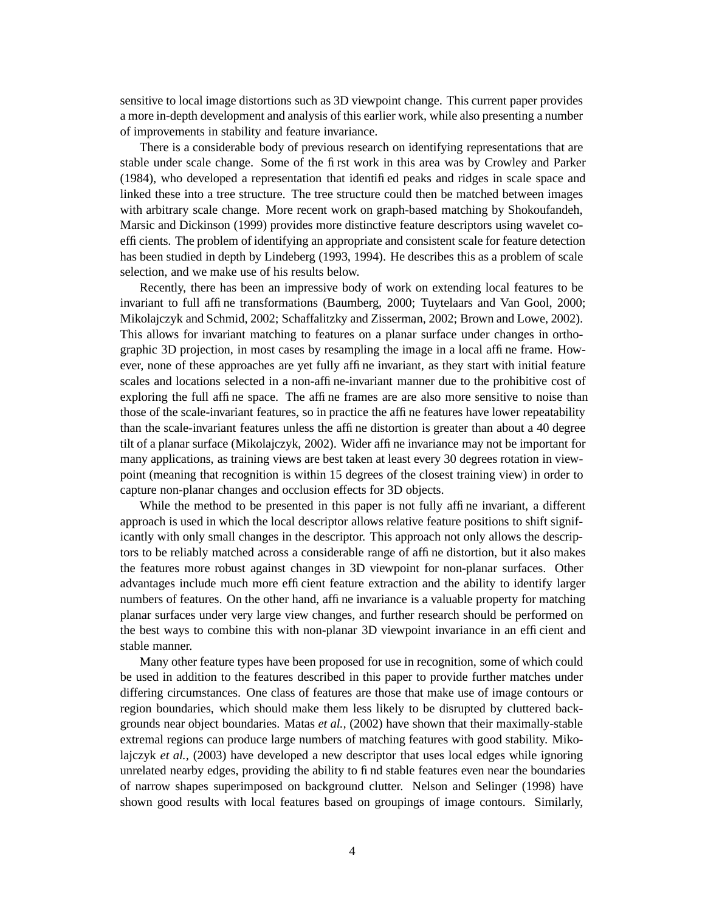sensitive to local image distortions such as 3D viewpoint change. This current paper provides a more in-depth development and analysis of this earlier work, while also presenting a number of improvements in stability and feature invariance.

There is a considerable body of previous research on identifying representations that are stable under scale change. Some of the first work in this area was by Crowley and Parker (1984), who developed a representation that identified peaks and ridges in scale space and linked these into a tree structure. The tree structure could then be matched between images with arbitrary scale change. More recent work on graph-based matching by Shokoufandeh, Marsic and Dickinson (1999) provides more distinctive feature descriptors using wavelet coefficients. The problem of identifying an appropriate and consistent scale for feature detection has been studied in depth by Lindeberg (1993, 1994). He describes this as a problem of scale selection, and we make use of his results below.

Recently, there has been an impressive body of work on extending local features to be invariant to full affine transformations (Baumberg, 2000; Tuytelaars and Van Gool, 2000; Mikolajczyk and Schmid, 2002; Schaffalitzky and Zisserman, 2002; Brown and Lowe, 2002). This allows for invariant matching to features on a planar surface under changes in orthographic 3D projection, in most cases by resampling the image in a local affine frame. However, none of these approaches are yet fully affine invariant, as they start with initial feature scales and locations selected in a non-affine-invariant manner due to the prohibitive cost of exploring the full affine space. The affine frames are are also more sensitive to noise than those of the scale-invariant features, so in practice the affine features have lower repeatability than the scale-invariant features unless the affine distortion is greater than about a 40 degree tilt of a planar surface (Mikolajczyk, 2002). Wider affine invariance may not be important for many applications, as training views are best taken at least every 30 degrees rotation in viewpoint (meaning that recognition is within 15 degrees of the closest training view) in order to capture non-planar changes and occlusion effects for 3D objects.

While the method to be presented in this paper is not fully affine invariant, a different approach is used in which the local descriptor allows relative feature positions to shift significantly with only small changes in the descriptor. This approach not only allows the descriptors to be reliably matched across a considerable range of affine distortion, but it also makes the features more robust against changes in 3D viewpoint for non-planar surfaces. Other advantages include much more efficient feature extraction and the ability to identify larger numbers of features. On the other hand, affine invariance is a valuable property for matching planar surfaces under very large view changes, and further research should be performed on the best ways to combine this with non-planar 3D viewpoint invariance in an efficient and stable manner.

Many other feature types have been proposed for use in recognition, some of which could be used in addition to the features described in this paper to provide further matches under differing circumstances. One class of features are those that make use of image contours or region boundaries, which should make them less likely to be disrupted by cluttered backgrounds near object boundaries. Matas *et al.,* (2002) have shown that their maximally-stable extremal regions can produce large numbers of matching features with good stability. Mikolajczyk *et al.,* (2003) have developed a new descriptor that uses local edges while ignoring unrelated nearby edges, providing the ability to find stable features even near the boundaries of narrow shapes superimposed on background clutter. Nelson and Selinger (1998) have shown good results with local features based on groupings of image contours. Similarly,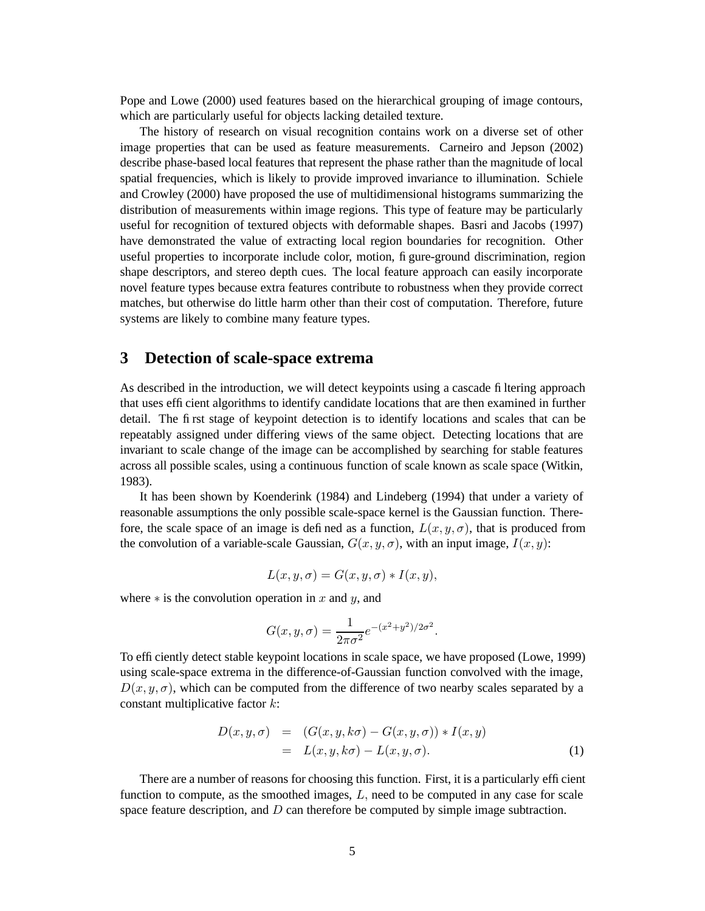Pope and Lowe (2000) used features based on the hierarchical grouping of image contours, which are particularly useful for objects lacking detailed texture.

The history of research on visual recognition contains work on a diverse set of other image properties that can be used as feature measurements. Carneiro and Jepson (2002) describe phase-based local features that represent the phase rather than the magnitude of local spatial frequencies, which is likely to provide improved invariance to illumination. Schiele and Crowley (2000) have proposed the use of multidimensional histograms summarizing the distribution of measurements within image regions. This type of feature may be particularly useful for recognition of textured objects with deformable shapes. Basri and Jacobs (1997) have demonstrated the value of extracting local region boundaries for recognition. Other useful properties to incorporate include color, motion, figure-ground discrimination, region shape descriptors, and stereo depth cues. The local feature approach can easily incorporate novel feature types because extra features contribute to robustness when they provide correct matches, but otherwise do little harm other than their cost of computation. Therefore, future systems are likely to combine many feature types.

### **3 Detection of scale-space extrema**

As described in the introduction, we will detect keypoints using a cascade filtering approach that uses efficient algorithms to identify candidate locations that are then examined in further detail. The first stage of keypoint detection is to identify locations and scales that can be repeatably assigned under differing views of the same object. Detecting locations that are invariant to scale change of the image can be accomplished by searching for stable features across all possible scales, using a continuous function of scale known as scale space (Witkin, 1983).

It has been shown by Koenderink (1984) and Lindeberg (1994) that under a variety of reasonable assumptions the only possible scale-space kernel is the Gaussian function. Therefore, the scale space of an image is defined as a function,  $L(x, y, \sigma)$ , that is produced from the convolution of a variable-scale Gaussian,  $G(x, y, \sigma)$ , with an input image,  $I(x, y)$ :

$$
L(x, y, \sigma) = G(x, y, \sigma) * I(x, y),
$$

where  $*$  is the convolution operation in x and y, and

$$
G(x, y, \sigma) = \frac{1}{2\pi\sigma^2} e^{-(x^2 + y^2)/2\sigma^2}.
$$

To efficiently detect stable keypoint locations in scale space, we have proposed (Lowe, 1999) using scale-space extrema in the difference-of-Gaussian function convolved with the image,  $D(x, y, \sigma)$ , which can be computed from the difference of two nearby scales separated by a constant multiplicative factor k:

$$
D(x, y, \sigma) = (G(x, y, k\sigma) - G(x, y, \sigma)) * I(x, y)
$$
  
=  $L(x, y, k\sigma) - L(x, y, \sigma).$  (1)

There are a number of reasons for choosing this function. First, it is a particularly efficient function to compute, as the smoothed images,  $L$ , need to be computed in any case for scale space feature description, and  $D$  can therefore be computed by simple image subtraction.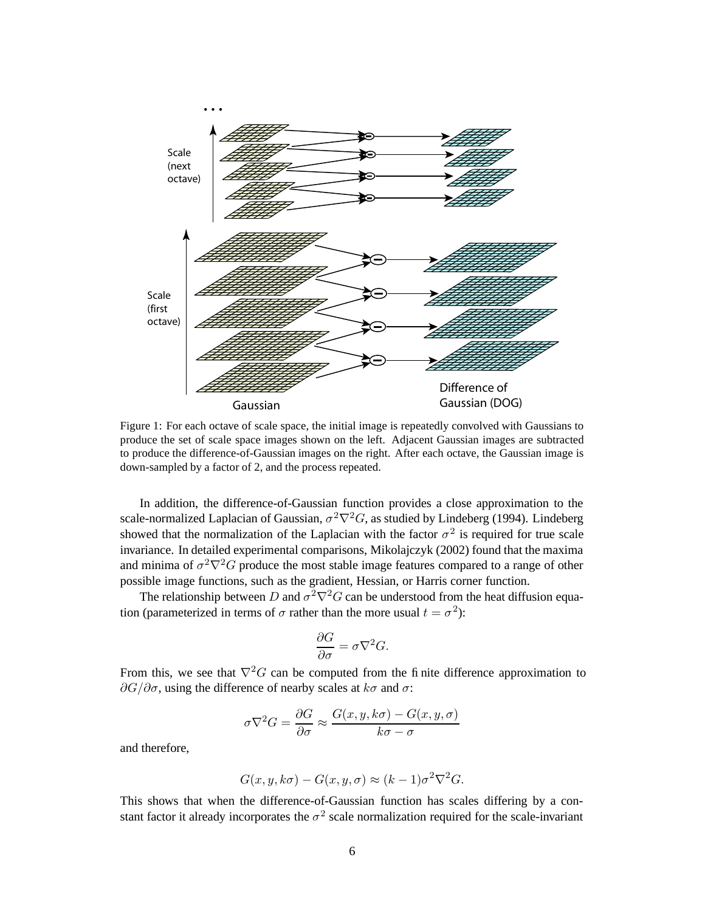

Figure 1: For each octave of scale space, the initial image is repeatedly convolved with Gaussians to produce the set of scale space images shown on the left. Adjacent Gaussian images are subtracted to produce the difference-of-Gaussian images on the right. After each octave, the Gaussian image is down-sampled by a factor of 2, and the process repeated.

In addition, the difference-of-Gaussian function provides a close approximation to the scale-normalized Laplacian of Gaussian,  $\sigma^2 \nabla^2 G$ , as studied by Lindeberg (1994). Lindeberg showed that the normalization of the Laplacian with the factor  $\sigma^2$  is required for true scale invariance. In detailed experimental comparisons, Mikolajczyk (2002) found that the maxima and minima of  $\sigma^2 \nabla^2 G$  produce the most stable image features compared to a range of other possible image functions, such as the gradient, Hessian, or Harris corner function.

The relationship between D and  $\sigma^2 \nabla^2 G$  can be understood from the heat diffusion equation (parameterized in terms of  $\sigma$  rather than the more usual  $t = \sigma^2$ ):

$$
\frac{\partial G}{\partial \sigma} = \sigma \nabla^2 G.
$$

From this, we see that  $\nabla^2 G$  can be computed from the finite difference approximation to  $\partial G/\partial \sigma$ , using the difference of nearby scales at  $k\sigma$  and  $\sigma$ :

$$
\sigma \nabla^2 G = \frac{\partial G}{\partial \sigma} \approx \frac{G(x, y, k\sigma) - G(x, y, \sigma)}{k\sigma - \sigma}
$$

and therefore,

$$
G(x, y, k\sigma) - G(x, y, \sigma) \approx (k-1)\sigma^2 \nabla^2 G.
$$

This shows that when the difference-of-Gaussian function has scales differing by a constant factor it already incorporates the  $\sigma^2$  scale normalization required for the scale-invariant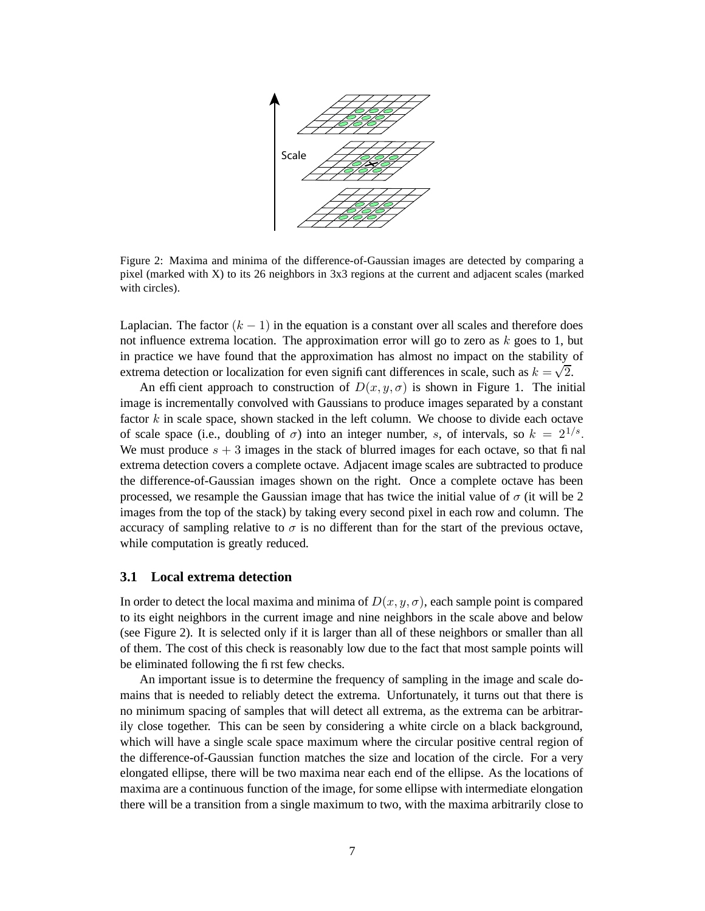

Figure 2: Maxima and minima of the difference-of-Gaussian images are detected by comparing a pixel (marked with X) to its 26 neighbors in 3x3 regions at the current and adjacent scales (marked with circles).

Laplacian. The factor  $(k - 1)$  in the equation is a constant over all scales and therefore does not influence extrema location. The approximation error will go to zero as  $k$  goes to 1, but in practice we have found that the approximation has almost no impact on the stability of extrema detection or localization for even significant differences in scale, such as  $k = \sqrt{2}$ .

An efficient approach to construction of  $D(x, y, \sigma)$  is shown in Figure 1. The initial image is incrementally convolved with Gaussians to produce images separated by a constant factor  $k$  in scale space, shown stacked in the left column. We choose to divide each octave of scale space (i.e., doubling of  $\sigma$ ) into an integer number, s, of intervals, so  $k = 2^{1/s}$ . We must produce  $s + 3$  images in the stack of blurred images for each octave, so that final extrema detection covers a complete octave. Adjacent image scales are subtracted to produce the difference-of-Gaussian images shown on the right. Once a complete octave has been processed, we resample the Gaussian image that has twice the initial value of  $\sigma$  (it will be 2) images from the top of the stack) by taking every second pixel in each row and column. The accuracy of sampling relative to  $\sigma$  is no different than for the start of the previous octave, while computation is greatly reduced.

#### **3.1 Local extrema detection**

In order to detect the local maxima and minima of  $D(x, y, \sigma)$ , each sample point is compared to its eight neighbors in the current image and nine neighbors in the scale above and below (see Figure 2). It is selected only if it is larger than all of these neighbors or smaller than all of them. The cost of this check is reasonably low due to the fact that most sample points will be eliminated following the first few checks.

An important issue is to determine the frequency of sampling in the image and scale domains that is needed to reliably detect the extrema. Unfortunately, it turns out that there is no minimum spacing of samples that will detect all extrema, as the extrema can be arbitrarily close together. This can be seen by considering a white circle on a black background, which will have a single scale space maximum where the circular positive central region of the difference-of-Gaussian function matches the size and location of the circle. For a very elongated ellipse, there will be two maxima near each end of the ellipse. As the locations of maxima are a continuous function of the image, for some ellipse with intermediate elongation there will be a transition from a single maximum to two, with the maxima arbitrarily close to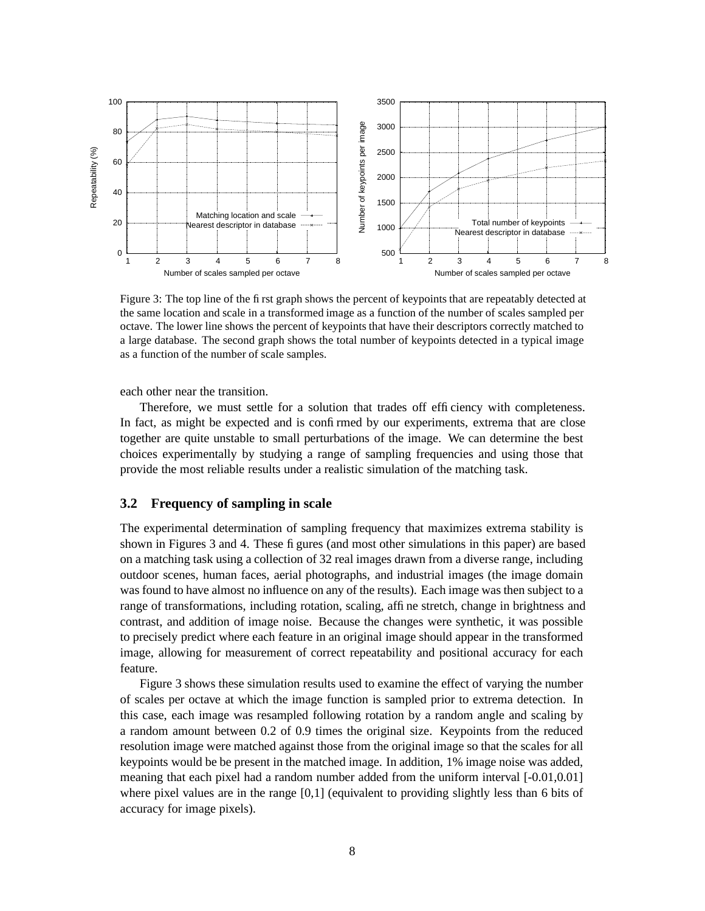

Figure 3: The top line of the first graph shows the percent of keypoints that are repeatably detected at the same location and scale in a transformed image as a function of the number of scales sampled per octave. The lower line shows the percent of keypoints that have their descriptors correctly matched to a large database. The second graph shows the total number of keypoints detected in a typical image as a function of the number of scale samples.

each other near the transition.

Therefore, we must settle for a solution that trades off efficiency with completeness. In fact, as might be expected and is confirmed by our experiments, extrema that are close together are quite unstable to small perturbations of the image. We can determine the best choices experimentally by studying a range of sampling frequencies and using those that provide the most reliable results under a realistic simulation of the matching task.

#### **3.2 Frequency of sampling in scale**

The experimental determination of sampling frequency that maximizes extrema stability is shown in Figures 3 and 4. These figures (and most other simulations in this paper) are based on a matching task using a collection of 32 real images drawn from a diverse range, including outdoor scenes, human faces, aerial photographs, and industrial images (the image domain was found to have almost no influence on any of the results). Each image was then subject to a range of transformations, including rotation, scaling, affine stretch, change in brightness and contrast, and addition of image noise. Because the changes were synthetic, it was possible to precisely predict where each feature in an original image should appear in the transformed image, allowing for measurement of correct repeatability and positional accuracy for each feature.

Figure 3 shows these simulation results used to examine the effect of varying the number of scales per octave at which the image function is sampled prior to extrema detection. In this case, each image was resampled following rotation by a random angle and scaling by a random amount between 0.2 of 0.9 times the original size. Keypoints from the reduced resolution image were matched against those from the original image so that the scales for all keypoints would be be present in the matched image. In addition, 1% image noise was added, meaning that each pixel had a random number added from the uniform interval [-0.01,0.01] where pixel values are in the range  $[0,1]$  (equivalent to providing slightly less than 6 bits of accuracy for image pixels).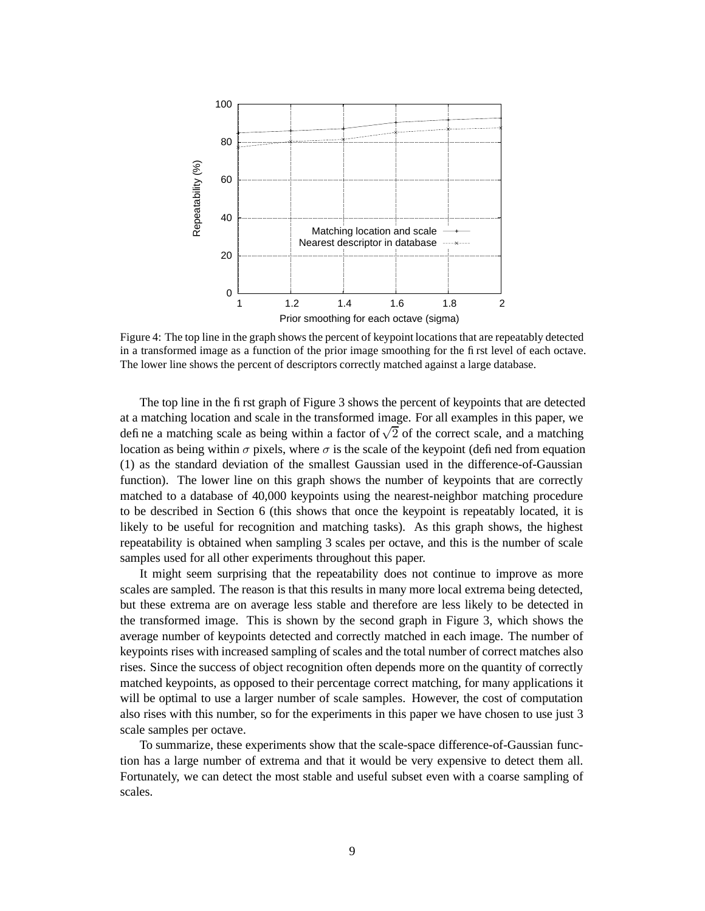

Figure 4: The top line in the graph shows the percent of keypoint locations that are repeatably detected in a transformed image as a function of the prior image smoothing for the first level of each octave. The lower line shows the percent of descriptors correctly matched against a large database.

The top line in the first graph of Figure 3 shows the percent of keypoints that are detected at a matching location and scale in the transformed image. For all examples in this paper, we define a matching scale as being within a factor of  $\sqrt{2}$  of the correct scale, and a matching location as being within  $\sigma$  pixels, where  $\sigma$  is the scale of the keypoint (defined from equation (1) as the standard deviation of the smallest Gaussian used in the difference-of-Gaussian function). The lower line on this graph shows the number of keypoints that are correctly matched to a database of 40,000 keypoints using the nearest-neighbor matching procedure to be described in Section 6 (this shows that once the keypoint is repeatably located, it is likely to be useful for recognition and matching tasks). As this graph shows, the highest repeatability is obtained when sampling 3 scales per octave, and this is the number of scale samples used for all other experiments throughout this paper.

It might seem surprising that the repeatability does not continue to improve as more scales are sampled. The reason is that this results in many more local extrema being detected, but these extrema are on average less stable and therefore are less likely to be detected in the transformed image. This is shown by the second graph in Figure 3, which shows the average number of keypoints detected and correctly matched in each image. The number of keypoints rises with increased sampling of scales and the total number of correct matches also rises. Since the success of object recognition often depends more on the quantity of correctly matched keypoints, as opposed to their percentage correct matching, for many applications it will be optimal to use a larger number of scale samples. However, the cost of computation also rises with this number, so for the experiments in this paper we have chosen to use just 3 scale samples per octave.

To summarize, these experiments show that the scale-space difference-of-Gaussian function has a large number of extrema and that it would be very expensive to detect them all. Fortunately, we can detect the most stable and useful subset even with a coarse sampling of scales.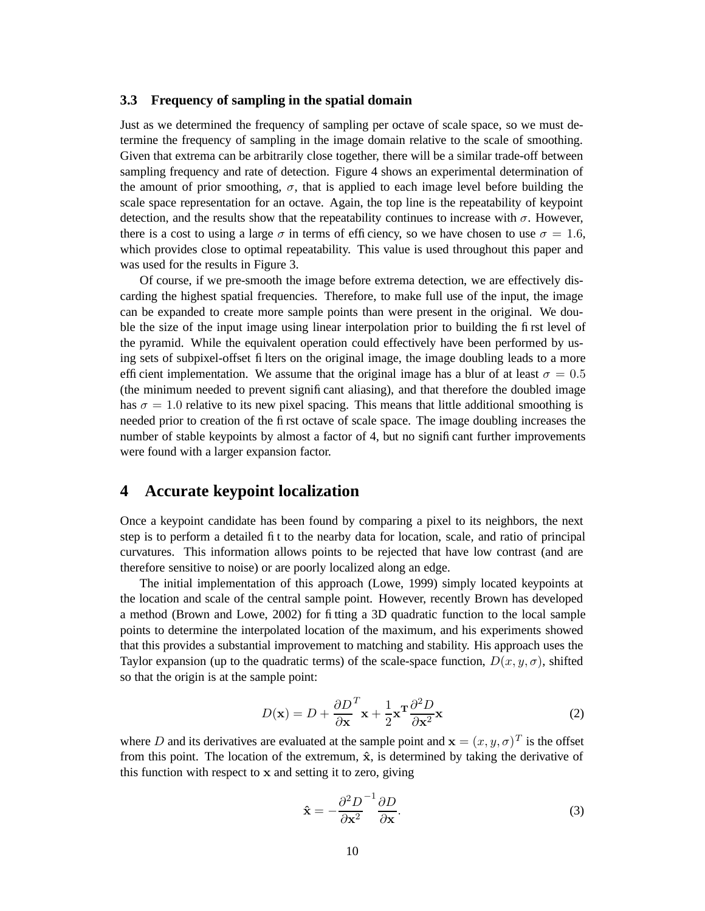#### **3.3 Frequency of sampling in the spatial domain**

Just as we determined the frequency of sampling per octave of scale space, so we must determine the frequency of sampling in the image domain relative to the scale of smoothing. Given that extrema can be arbitrarily close together, there will be a similar trade-off between sampling frequency and rate of detection. Figure 4 shows an experimental determination of the amount of prior smoothing,  $\sigma$ , that is applied to each image level before building the scale space representation for an octave. Again, the top line is the repeatability of keypoint detection, and the results show that the repeatability continues to increase with  $\sigma$ . However, there is a cost to using a large  $\sigma$  in terms of efficiency, so we have chosen to use  $\sigma = 1.6$ , which provides close to optimal repeatability. This value is used throughout this paper and was used for the results in Figure 3.

Of course, if we pre-smooth the image before extrema detection, we are effectively discarding the highest spatial frequencies. Therefore, to make full use of the input, the image can be expanded to create more sample points than were present in the original. We double the size of the input image using linear interpolation prior to building the first level of the pyramid. While the equivalent operation could effectively have been performed by using sets of subpixel-offset filters on the original image, the image doubling leads to a more efficient implementation. We assume that the original image has a blur of at least  $\sigma = 0.5$ (the minimum needed to prevent significant aliasing), and that therefore the doubled image has  $\sigma = 1.0$  relative to its new pixel spacing. This means that little additional smoothing is needed prior to creation of the first octave of scale space. The image doubling increases the number of stable keypoints by almost a factor of 4, but no significant further improvements were found with a larger expansion factor.

## **4 Accurate keypoint localization**

Once a keypoint candidate has been found by comparing a pixel to its neighbors, the next step is to perform a detailed fit to the nearby data for location, scale, and ratio of principal curvatures. This information allows points to be rejected that have low contrast (and are therefore sensitive to noise) or are poorly localized along an edge.

The initial implementation of this approach (Lowe, 1999) simply located keypoints at the location and scale of the central sample point. However, recently Brown has developed a method (Brown and Lowe, 2002) for fitting a 3D quadratic function to the local sample points to determine the interpolated location of the maximum, and his experiments showed that this provides a substantial improvement to matching and stability. His approach uses the Taylor expansion (up to the quadratic terms) of the scale-space function,  $D(x, y, \sigma)$ , shifted so that the origin is at the sample point:

$$
D(\mathbf{x}) = D + \frac{\partial D}{\partial \mathbf{x}}^T \mathbf{x} + \frac{1}{2} \mathbf{x}^T \frac{\partial^2 D}{\partial \mathbf{x}^2} \mathbf{x}
$$
 (2)

where D and its derivatives are evaluated at the sample point and  $\mathbf{x} = (x, y, \sigma)^T$  is the offset from this point. The location of the extremum,  $\hat{x}$ , is determined by taking the derivative of this function with respect to  $x$  and setting it to zero, giving

$$
\hat{\mathbf{x}} = -\frac{\partial^2 D}{\partial \mathbf{x}^2}^{-1} \frac{\partial D}{\partial \mathbf{x}}.\tag{3}
$$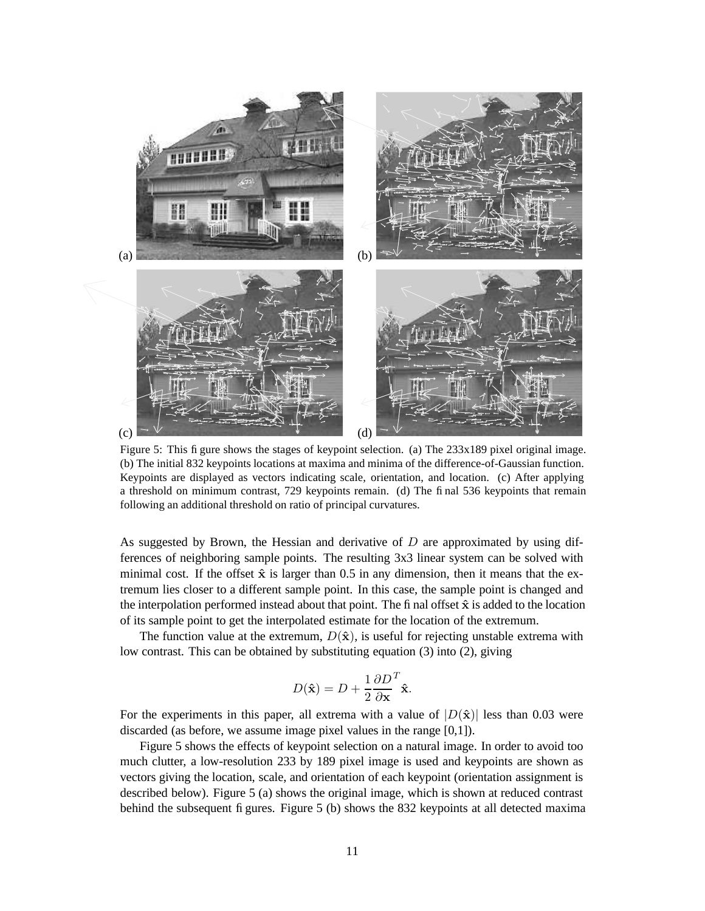

Figure 5: This figure shows the stages of keypoint selection. (a) The 233x189 pixel original image. (b) The initial 832 keypoints locations at maxima and minima of the difference-of-Gaussian function. Keypoints are displayed as vectors indicating scale, orientation, and location. (c) After applying a threshold on minimum contrast, 729 keypoints remain. (d) The final 536 keypoints that remain following an additional threshold on ratio of principal curvatures.

As suggested by Brown, the Hessian and derivative of  $D$  are approximated by using differences of neighboring sample points. The resulting 3x3 linear system can be solved with minimal cost. If the offset  $\hat{x}$  is larger than 0.5 in any dimension, then it means that the extremum lies closer to a different sample point. In this case, the sample point is changed and the interpolation performed instead about that point. The final offset  $\hat{x}$  is added to the location of its sample point to get the interpolated estimate for the location of the extremum.

The function value at the extremum,  $D(\hat{x})$ , is useful for rejecting unstable extrema with low contrast. This can be obtained by substituting equation (3) into (2), giving

$$
D(\hat{\mathbf{x}}) = D + \frac{1}{2} \frac{\partial D}{\partial \mathbf{x}}^T \hat{\mathbf{x}}.
$$

For the experiments in this paper, all extrema with a value of  $|D(\hat{x})|$  less than 0.03 were discarded (as before, we assume image pixel values in the range [0,1]).

Figure 5 shows the effects of keypoint selection on a natural image. In order to avoid too much clutter, a low-resolution 233 by 189 pixel image is used and keypoints are shown as vectors giving the location, scale, and orientation of each keypoint (orientation assignment is described below). Figure 5 (a) shows the original image, which is shown at reduced contrast behind the subsequent figures. Figure 5 (b) shows the 832 keypoints at all detected maxima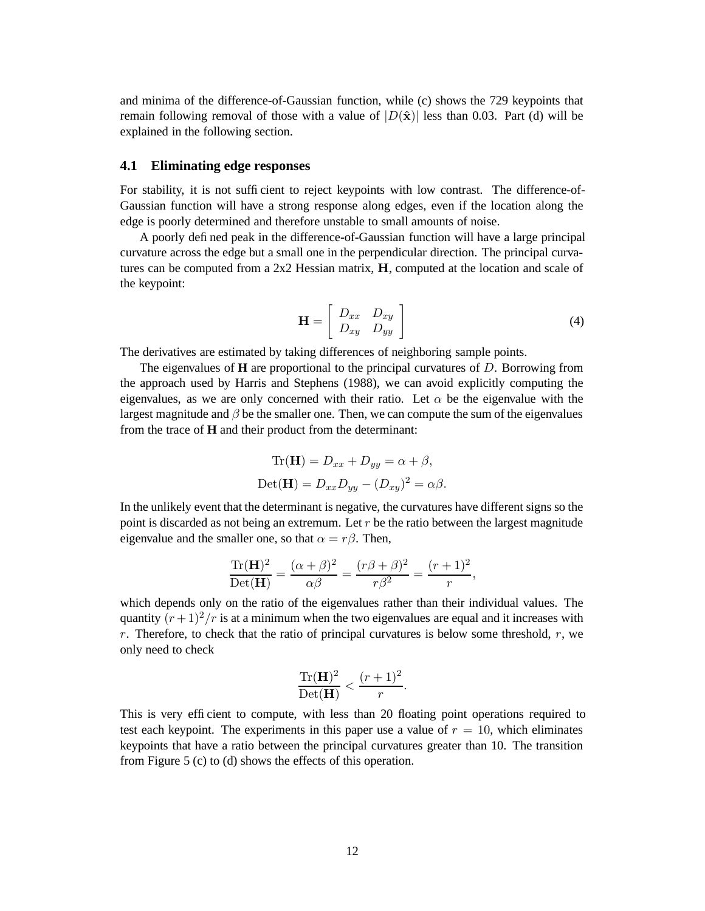and minima of the difference-of-Gaussian function, while (c) shows the 729 keypoints that remain following removal of those with a value of  $|D(\hat{x})|$  less than 0.03. Part (d) will be explained in the following section.

#### **4.1 Eliminating edge responses**

For stability, it is not sufficient to reject keypoints with low contrast. The difference-of-Gaussian function will have a strong response along edges, even if the location along the edge is poorly determined and therefore unstable to small amounts of noise.

A poorly defined peak in the difference-of-Gaussian function will have a large principal curvature across the edge but a small one in the perpendicular direction. The principal curvatures can be computed from a  $2x2$  Hessian matrix,  $H$ , computed at the location and scale of the keypoint:

$$
\mathbf{H} = \left[ \begin{array}{cc} D_{xx} & D_{xy} \\ D_{xy} & D_{yy} \end{array} \right] \tag{4}
$$

The derivatives are estimated by taking differences of neighboring sample points.

The eigenvalues of **H** are proportional to the principal curvatures of D. Borrowing from the approach used by Harris and Stephens (1988), we can avoid explicitly computing the eigenvalues, as we are only concerned with their ratio. Let  $\alpha$  be the eigenvalue with the largest magnitude and  $\beta$  be the smaller one. Then, we can compute the sum of the eigenvalues from the trace of **H** and their product from the determinant:

$$
\text{Tr}(\mathbf{H}) = D_{xx} + D_{yy} = \alpha + \beta,
$$
  

$$
\text{Det}(\mathbf{H}) = D_{xx}D_{yy} - (D_{xy})^2 = \alpha\beta.
$$

In the unlikely event that the determinant is negative, the curvatures have different signs so the point is discarded as not being an extremum. Let  $r$  be the ratio between the largest magnitude eigenvalue and the smaller one, so that  $\alpha = r\beta$ . Then,

$$
\frac{\text{Tr}(\mathbf{H})^2}{\text{Det}(\mathbf{H})} = \frac{(\alpha + \beta)^2}{\alpha \beta} = \frac{(r\beta + \beta)^2}{r\beta^2} = \frac{(r+1)^2}{r},
$$

which depends only on the ratio of the eigenvalues rather than their individual values. The quantity  $(r+1)^2/r$  is at a minimum when the two eigenvalues are equal and it increases with  $r$ . Therefore, to check that the ratio of principal curvatures is below some threshold,  $r$ , we only need to check

$$
\frac{\text{Tr}(\mathbf{H})^2}{\text{Det}(\mathbf{H})} < \frac{(r+1)^2}{r}.
$$

This is very efficient to compute, with less than 20 floating point operations required to test each keypoint. The experiments in this paper use a value of  $r = 10$ , which eliminates keypoints that have a ratio between the principal curvatures greater than 10. The transition from Figure 5 (c) to (d) shows the effects of this operation.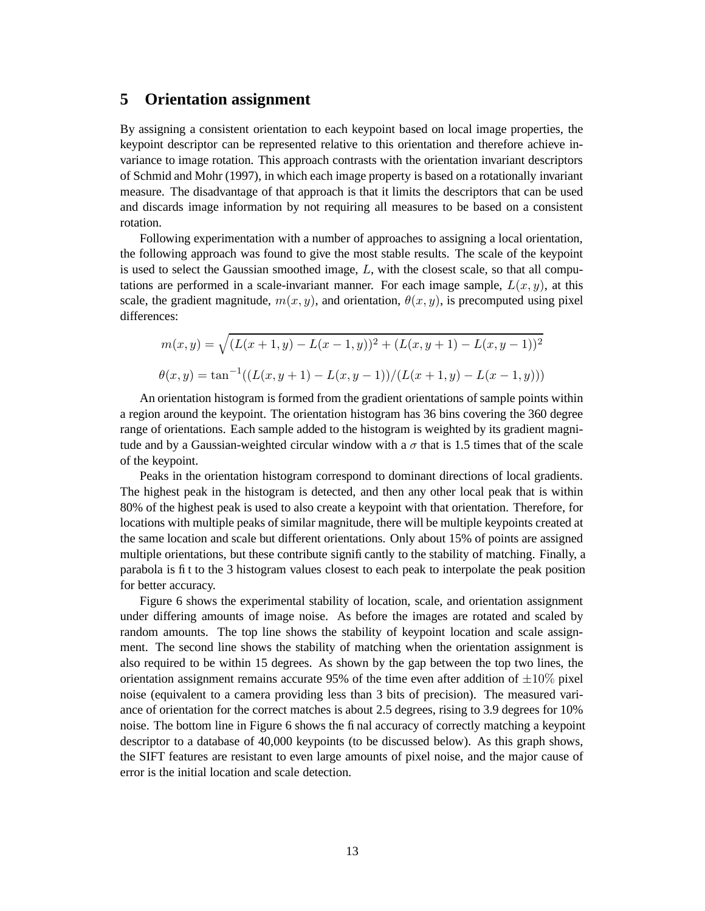### **5 Orientation assignment**

By assigning a consistent orientation to each keypoint based on local image properties, the keypoint descriptor can be represented relative to this orientation and therefore achieve invariance to image rotation. This approach contrasts with the orientation invariant descriptors of Schmid and Mohr (1997), in which each image property is based on a rotationally invariant measure. The disadvantage of that approach is that it limits the descriptors that can be used and discards image information by not requiring all measures to be based on a consistent rotation.

Following experimentation with a number of approaches to assigning a local orientation, the following approach was found to give the most stable results. The scale of the keypoint is used to select the Gaussian smoothed image,  $L$ , with the closest scale, so that all computations are performed in a scale-invariant manner. For each image sample,  $L(x, y)$ , at this scale, the gradient magnitude,  $m(x, y)$ , and orientation,  $\theta(x, y)$ , is precomputed using pixel differences:

$$
m(x,y) = \sqrt{(L(x+1,y) - L(x-1,y))^2 + (L(x,y+1) - L(x,y-1))^2}
$$
  

$$
\theta(x,y) = \tan^{-1}((L(x,y+1) - L(x,y-1))/(L(x+1,y) - L(x-1,y)))
$$

An orientation histogram is formed from the gradient orientations of sample points within a region around the keypoint. The orientation histogram has 36 bins covering the 360 degree range of orientations. Each sample added to the histogram is weighted by its gradient magnitude and by a Gaussian-weighted circular window with a  $\sigma$  that is 1.5 times that of the scale of the keypoint.

Peaks in the orientation histogram correspond to dominant directions of local gradients. The highest peak in the histogram is detected, and then any other local peak that is within 80% of the highest peak is used to also create a keypoint with that orientation. Therefore, for locations with multiple peaks of similar magnitude, there will be multiple keypoints created at the same location and scale but different orientations. Only about 15% of points are assigned multiple orientations, but these contribute significantly to the stability of matching. Finally, a parabola is fit to the 3 histogram values closest to each peak to interpolate the peak position for better accuracy.

Figure 6 shows the experimental stability of location, scale, and orientation assignment under differing amounts of image noise. As before the images are rotated and scaled by random amounts. The top line shows the stability of keypoint location and scale assignment. The second line shows the stability of matching when the orientation assignment is also required to be within 15 degrees. As shown by the gap between the top two lines, the orientation assignment remains accurate 95% of the time even after addition of  $\pm 10\%$  pixel noise (equivalent to a camera providing less than 3 bits of precision). The measured variance of orientation for the correct matches is about 2.5 degrees, rising to 3.9 degrees for 10% noise. The bottom line in Figure 6 shows the final accuracy of correctly matching a keypoint descriptor to a database of 40,000 keypoints (to be discussed below). As this graph shows, the SIFT features are resistant to even large amounts of pixel noise, and the major cause of error is the initial location and scale detection.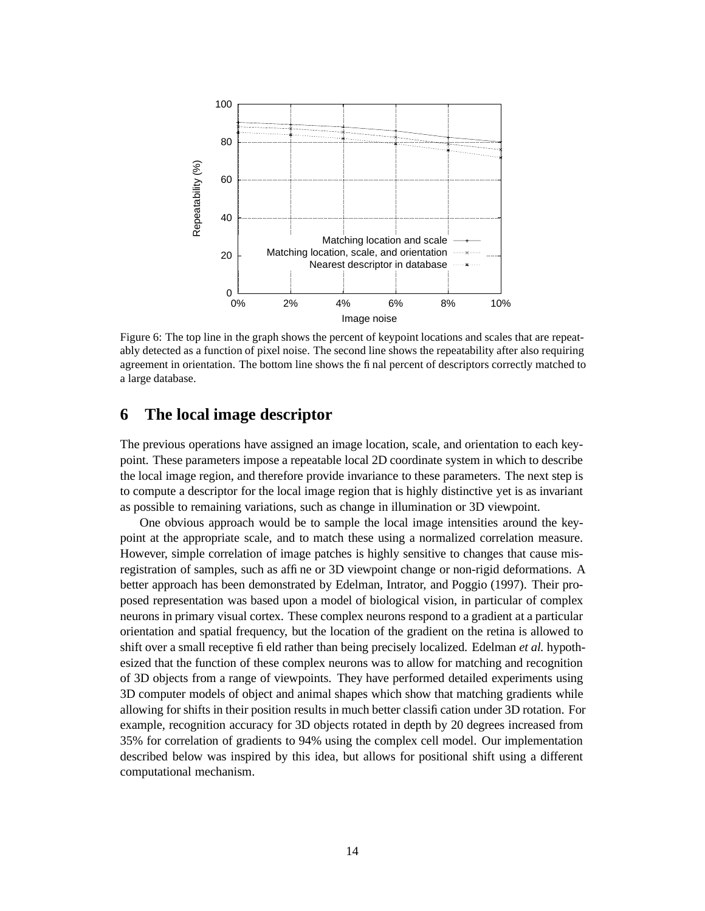

Figure 6: The top line in the graph shows the percent of keypoint locations and scales that are repeatably detected as a function of pixel noise. The second line shows the repeatability after also requiring agreement in orientation. The bottom line shows the final percent of descriptors correctly matched to a large database.

# **6 The local image descriptor**

The previous operations have assigned an image location, scale, and orientation to each keypoint. These parameters impose a repeatable local 2D coordinate system in which to describe the local image region, and therefore provide invariance to these parameters. The next step is to compute a descriptor for the local image region that is highly distinctive yet is as invariant as possible to remaining variations, such as change in illumination or 3D viewpoint.

One obvious approach would be to sample the local image intensities around the keypoint at the appropriate scale, and to match these using a normalized correlation measure. However, simple correlation of image patches is highly sensitive to changes that cause misregistration of samples, such as affine or 3D viewpoint change or non-rigid deformations. A better approach has been demonstrated by Edelman, Intrator, and Poggio (1997). Their proposed representation was based upon a model of biological vision, in particular of complex neurons in primary visual cortex. These complex neurons respond to a gradient at a particular orientation and spatial frequency, but the location of the gradient on the retina is allowed to shift over a small receptive field rather than being precisely localized. Edelman *et al.* hypothesized that the function of these complex neurons was to allow for matching and recognition of 3D objects from a range of viewpoints. They have performed detailed experiments using 3D computer models of object and animal shapes which show that matching gradients while allowing for shifts in their position results in much better classification under 3D rotation. For example, recognition accuracy for 3D objects rotated in depth by 20 degrees increased from 35% for correlation of gradients to 94% using the complex cell model. Our implementation described below was inspired by this idea, but allows for positional shift using a different computational mechanism.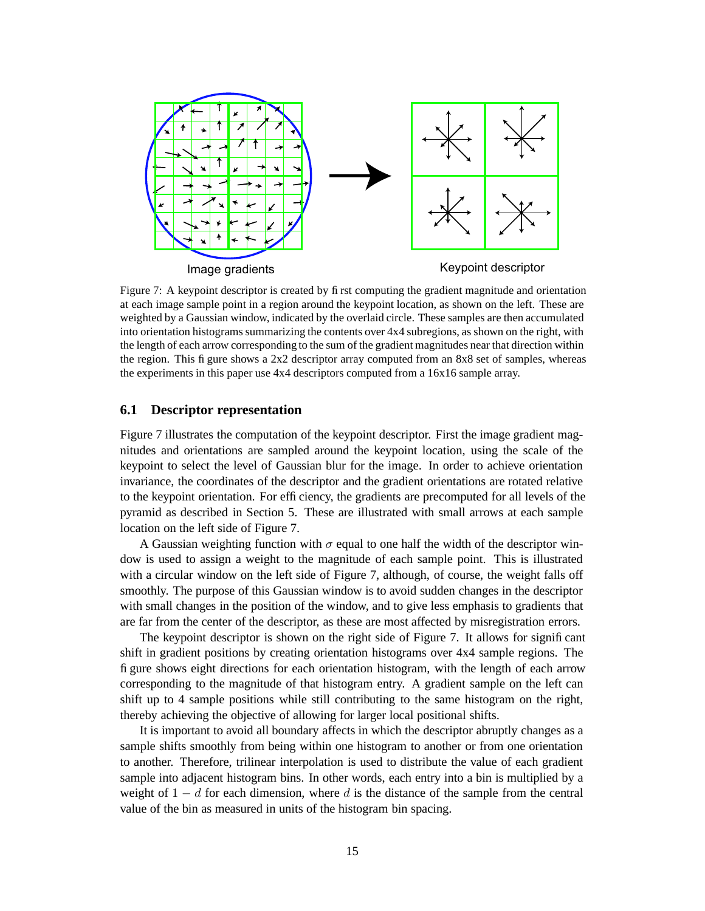

Figure 7: A keypoint descriptor is created by first computing the gradient magnitude and orientation at each image sample point in a region around the keypoint location, as shown on the left. These are weighted by a Gaussian window, indicated by the overlaid circle. These samples are then accumulated into orientation histograms summarizing the contents over 4x4 subregions, as shown on the right, with the length of each arrow corresponding to the sum of the gradient magnitudes near that direction within the region. This figure shows a 2x2 descriptor array computed from an 8x8 set of samples, whereas the experiments in this paper use 4x4 descriptors computed from a 16x16 sample array.

#### **6.1 Descriptor representation**

Figure 7 illustrates the computation of the keypoint descriptor. First the image gradient magnitudes and orientations are sampled around the keypoint location, using the scale of the keypoint to select the level of Gaussian blur for the image. In order to achieve orientation invariance, the coordinates of the descriptor and the gradient orientations are rotated relative to the keypoint orientation. For efficiency, the gradients are precomputed for all levels of the pyramid as described in Section 5. These are illustrated with small arrows at each sample location on the left side of Figure 7.

A Gaussian weighting function with  $\sigma$  equal to one half the width of the descriptor window is used to assign a weight to the magnitude of each sample point. This is illustrated with a circular window on the left side of Figure 7, although, of course, the weight falls off smoothly. The purpose of this Gaussian window is to avoid sudden changes in the descriptor with small changes in the position of the window, and to give less emphasis to gradients that are far from the center of the descriptor, as these are most affected by misregistration errors.

The keypoint descriptor is shown on the right side of Figure 7. It allows for significant shift in gradient positions by creating orientation histograms over 4x4 sample regions. The figure shows eight directions for each orientation histogram, with the length of each arrow corresponding to the magnitude of that histogram entry. A gradient sample on the left can shift up to 4 sample positions while still contributing to the same histogram on the right, thereby achieving the objective of allowing for larger local positional shifts.

It is important to avoid all boundary affects in which the descriptor abruptly changes as a sample shifts smoothly from being within one histogram to another or from one orientation to another. Therefore, trilinear interpolation is used to distribute the value of each gradient sample into adjacent histogram bins. In other words, each entry into a bin is multiplied by a weight of  $1 - d$  for each dimension, where d is the distance of the sample from the central value of the bin as measured in units of the histogram bin spacing.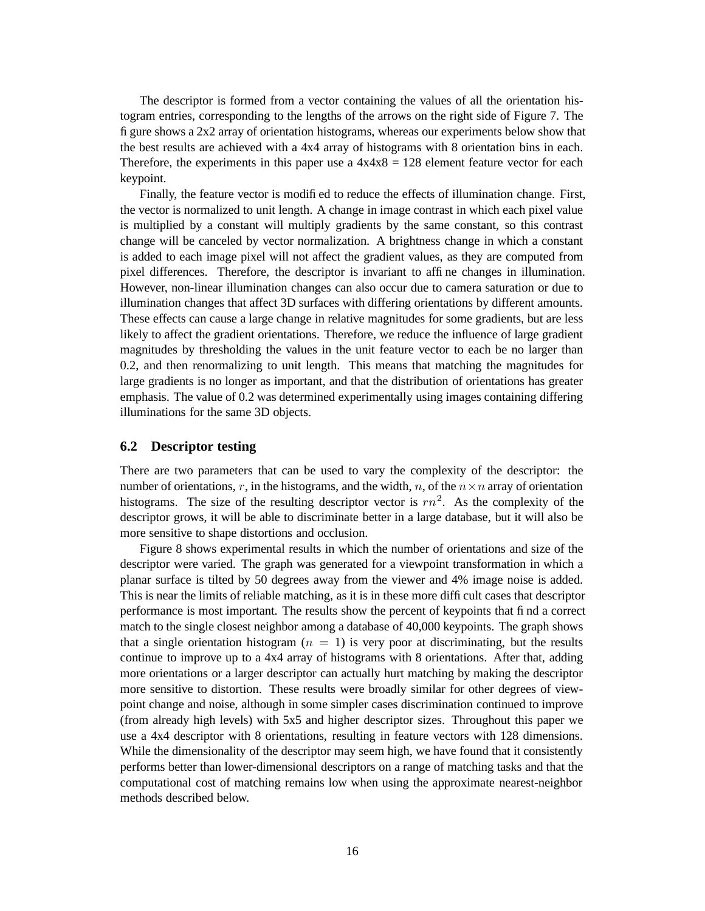The descriptor is formed from a vector containing the values of all the orientation histogram entries, corresponding to the lengths of the arrows on the right side of Figure 7. The figure shows a 2x2 array of orientation histograms, whereas our experiments below show that the best results are achieved with a 4x4 array of histograms with 8 orientation bins in each. Therefore, the experiments in this paper use a  $4x4x8 = 128$  element feature vector for each keypoint.

Finally, the feature vector is modified to reduce the effects of illumination change. First, the vector is normalized to unit length. A change in image contrast in which each pixel value is multiplied by a constant will multiply gradients by the same constant, so this contrast change will be canceled by vector normalization. A brightness change in which a constant is added to each image pixel will not affect the gradient values, as they are computed from pixel differences. Therefore, the descriptor is invariant to affine changes in illumination. However, non-linear illumination changes can also occur due to camera saturation or due to illumination changes that affect 3D surfaces with differing orientations by different amounts. These effects can cause a large change in relative magnitudes for some gradients, but are less likely to affect the gradient orientations. Therefore, we reduce the influence of large gradient magnitudes by thresholding the values in the unit feature vector to each be no larger than 0.2, and then renormalizing to unit length. This means that matching the magnitudes for large gradients is no longer as important, and that the distribution of orientations has greater emphasis. The value of 0.2 was determined experimentally using images containing differing illuminations for the same 3D objects.

#### **6.2 Descriptor testing**

There are two parameters that can be used to vary the complexity of the descriptor: the number of orientations, r, in the histograms, and the width, n, of the  $n \times n$  array of orientation histograms. The size of the resulting descriptor vector is  $rn^2$ . As the complexity of the descriptor grows, it will be able to discriminate better in a large database, but it will also be more sensitive to shape distortions and occlusion.

Figure 8 shows experimental results in which the number of orientations and size of the descriptor were varied. The graph was generated for a viewpoint transformation in which a planar surface is tilted by 50 degrees away from the viewer and 4% image noise is added. This is near the limits of reliable matching, as it is in these more difficult cases that descriptor performance is most important. The results show the percent of keypoints that find a correct match to the single closest neighbor among a database of 40,000 keypoints. The graph shows that a single orientation histogram ( $n = 1$ ) is very poor at discriminating, but the results continue to improve up to a 4x4 array of histograms with 8 orientations. After that, adding more orientations or a larger descriptor can actually hurt matching by making the descriptor more sensitive to distortion. These results were broadly similar for other degrees of viewpoint change and noise, although in some simpler cases discrimination continued to improve (from already high levels) with 5x5 and higher descriptor sizes. Throughout this paper we use a 4x4 descriptor with 8 orientations, resulting in feature vectors with 128 dimensions. While the dimensionality of the descriptor may seem high, we have found that it consistently performs better than lower-dimensional descriptors on a range of matching tasks and that the computational cost of matching remains low when using the approximate nearest-neighbor methods described below.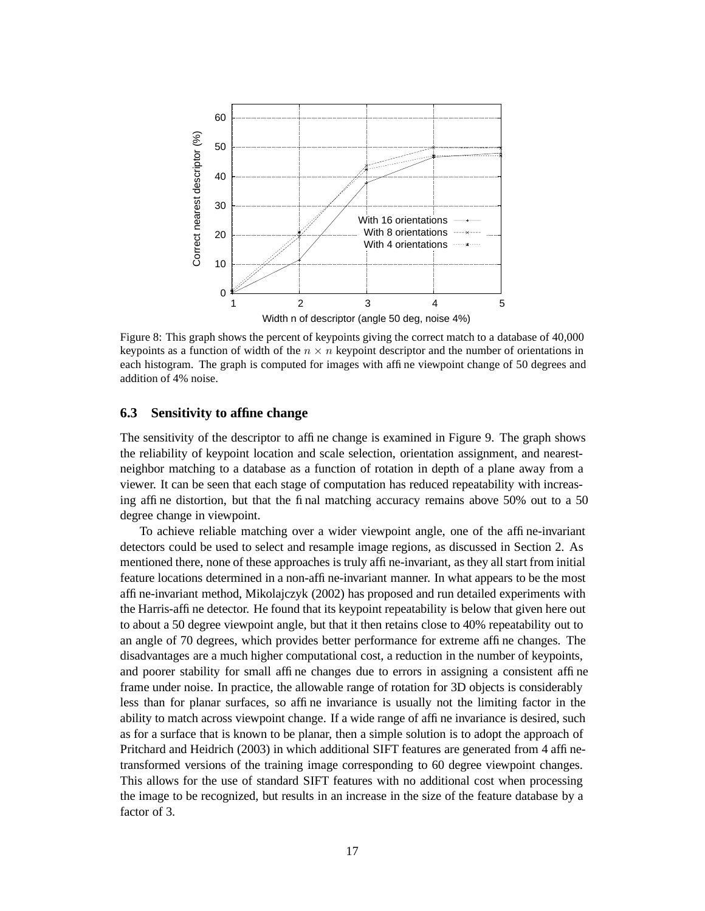

Figure 8: This graph shows the percent of keypoints giving the correct match to a database of 40,000 keypoints as a function of width of the  $n \times n$  keypoint descriptor and the number of orientations in each histogram. The graph is computed for images with affine viewpoint change of 50 degrees and addition of 4% noise.

#### **6.3 Sensitivity to affine change**

The sensitivity of the descriptor to affine change is examined in Figure 9. The graph shows the reliability of keypoint location and scale selection, orientation assignment, and nearestneighbor matching to a database as a function of rotation in depth of a plane away from a viewer. It can be seen that each stage of computation has reduced repeatability with increasing affine distortion, but that the final matching accuracy remains above 50% out to a 50 degree change in viewpoint.

To achieve reliable matching over a wider viewpoint angle, one of the affine-invariant detectors could be used to select and resample image regions, as discussed in Section 2. As mentioned there, none of these approaches is truly affine-invariant, as they all start from initial feature locations determined in a non-affine-invariant manner. In what appears to be the most affine-invariant method, Mikolajczyk (2002) has proposed and run detailed experiments with the Harris-affine detector. He found that its keypoint repeatability is below that given here out to about a 50 degree viewpoint angle, but that it then retains close to 40% repeatability out to an angle of 70 degrees, which provides better performance for extreme affine changes. The disadvantages are a much higher computational cost, a reduction in the number of keypoints, and poorer stability for small affine changes due to errors in assigning a consistent affine frame under noise. In practice, the allowable range of rotation for 3D objects is considerably less than for planar surfaces, so affine invariance is usually not the limiting factor in the ability to match across viewpoint change. If a wide range of affine invariance is desired, such as for a surface that is known to be planar, then a simple solution is to adopt the approach of Pritchard and Heidrich (2003) in which additional SIFT features are generated from 4 affinetransformed versions of the training image corresponding to 60 degree viewpoint changes. This allows for the use of standard SIFT features with no additional cost when processing the image to be recognized, but results in an increase in the size of the feature database by a factor of 3.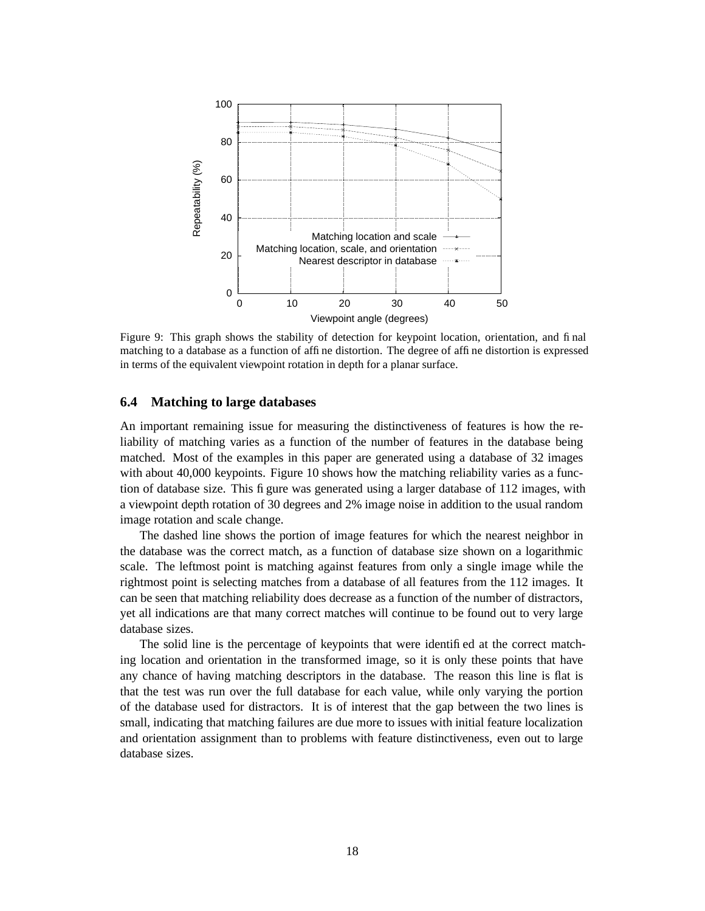

Figure 9: This graph shows the stability of detection for keypoint location, orientation, and final matching to a database as a function of affine distortion. The degree of affine distortion is expressed in terms of the equivalent viewpoint rotation in depth for a planar surface.

#### **6.4 Matching to large databases**

An important remaining issue for measuring the distinctiveness of features is how the reliability of matching varies as a function of the number of features in the database being matched. Most of the examples in this paper are generated using a database of 32 images with about 40,000 keypoints. Figure 10 shows how the matching reliability varies as a function of database size. This figure was generated using a larger database of 112 images, with a viewpoint depth rotation of 30 degrees and 2% image noise in addition to the usual random image rotation and scale change.

The dashed line shows the portion of image features for which the nearest neighbor in the database was the correct match, as a function of database size shown on a logarithmic scale. The leftmost point is matching against features from only a single image while the rightmost point is selecting matches from a database of all features from the 112 images. It can be seen that matching reliability does decrease as a function of the number of distractors, yet all indications are that many correct matches will continue to be found out to very large database sizes.

The solid line is the percentage of keypoints that were identified at the correct matching location and orientation in the transformed image, so it is only these points that have any chance of having matching descriptors in the database. The reason this line is flat is that the test was run over the full database for each value, while only varying the portion of the database used for distractors. It is of interest that the gap between the two lines is small, indicating that matching failures are due more to issues with initial feature localization and orientation assignment than to problems with feature distinctiveness, even out to large database sizes.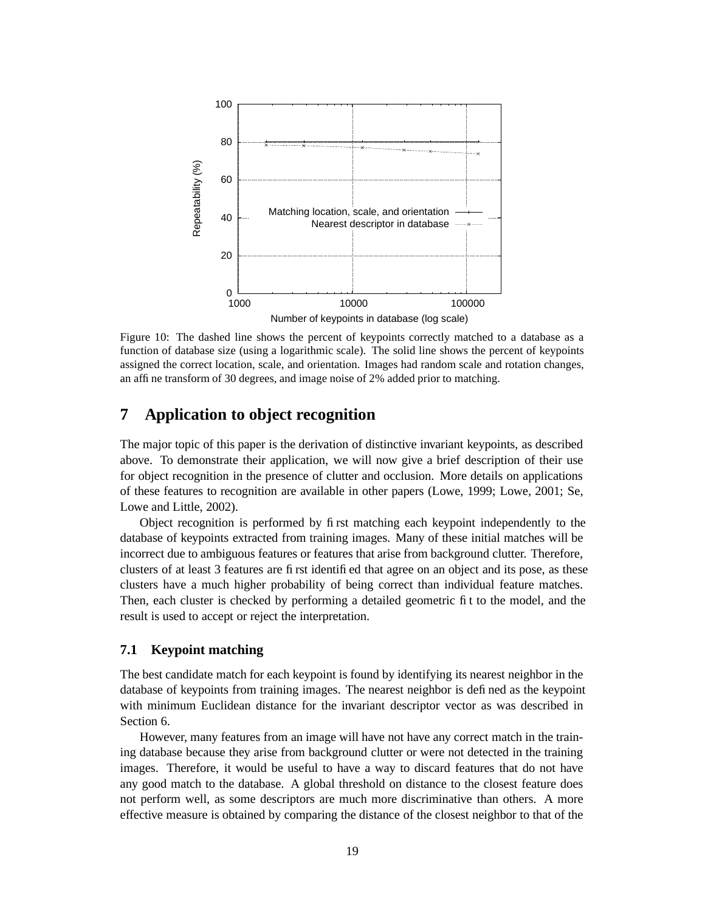

Figure 10: The dashed line shows the percent of keypoints correctly matched to a database as a function of database size (using a logarithmic scale). The solid line shows the percent of keypoints assigned the correct location, scale, and orientation. Images had random scale and rotation changes, an affine transform of 30 degrees, and image noise of 2% added prior to matching.

# **7 Application to object recognition**

The major topic of this paper is the derivation of distinctive invariant keypoints, as described above. To demonstrate their application, we will now give a brief description of their use for object recognition in the presence of clutter and occlusion. More details on applications of these features to recognition are available in other papers (Lowe, 1999; Lowe, 2001; Se, Lowe and Little, 2002).

Object recognition is performed by first matching each keypoint independently to the database of keypoints extracted from training images. Many of these initial matches will be incorrect due to ambiguous features or features that arise from background clutter. Therefore, clusters of at least 3 features are first identified that agree on an object and its pose, as these clusters have a much higher probability of being correct than individual feature matches. Then, each cluster is checked by performing a detailed geometric fit to the model, and the result is used to accept or reject the interpretation.

#### **7.1 Keypoint matching**

The best candidate match for each keypoint is found by identifying its nearest neighbor in the database of keypoints from training images. The nearest neighbor is defined as the keypoint with minimum Euclidean distance for the invariant descriptor vector as was described in Section 6.

However, many features from an image will have not have any correct match in the training database because they arise from background clutter or were not detected in the training images. Therefore, it would be useful to have a way to discard features that do not have any good match to the database. A global threshold on distance to the closest feature does not perform well, as some descriptors are much more discriminative than others. A more effective measure is obtained by comparing the distance of the closest neighbor to that of the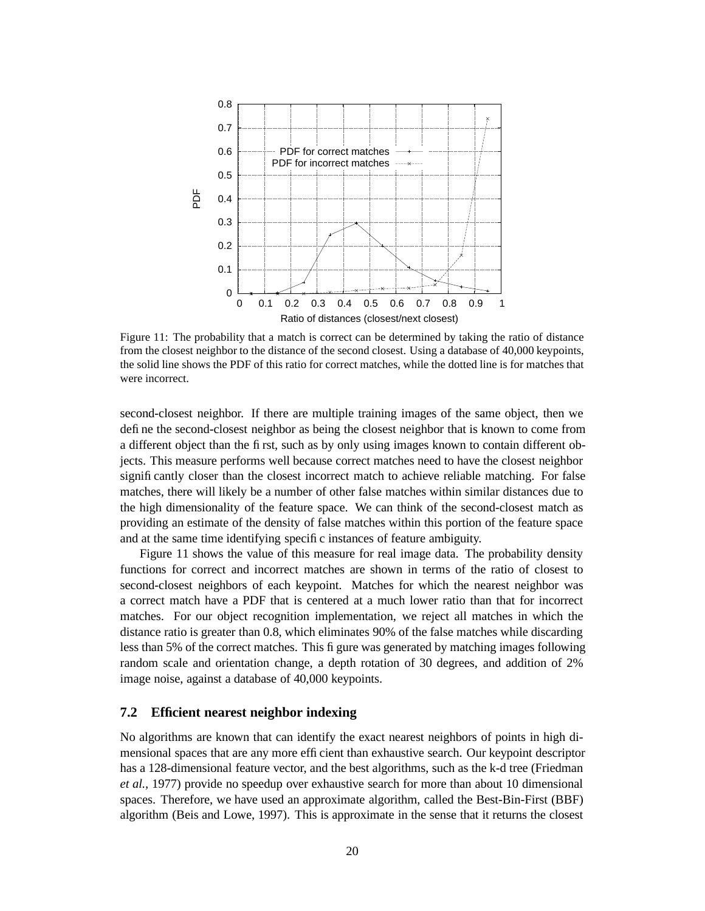

Figure 11: The probability that a match is correct can be determined by taking the ratio of distance from the closest neighbor to the distance of the second closest. Using a database of 40,000 keypoints, the solid line shows the PDF of this ratio for correct matches, while the dotted line is for matches that were incorrect.

second-closest neighbor. If there are multiple training images of the same object, then we define the second-closest neighbor as being the closest neighbor that is known to come from a different object than the first, such as by only using images known to contain different objects. This measure performs well because correct matches need to have the closest neighbor significantly closer than the closest incorrect match to achieve reliable matching. For false matches, there will likely be a number of other false matches within similar distances due to the high dimensionality of the feature space. We can think of the second-closest match as providing an estimate of the density of false matches within this portion of the feature space and at the same time identifying specific instances of feature ambiguity.

Figure 11 shows the value of this measure for real image data. The probability density functions for correct and incorrect matches are shown in terms of the ratio of closest to second-closest neighbors of each keypoint. Matches for which the nearest neighbor was a correct match have a PDF that is centered at a much lower ratio than that for incorrect matches. For our object recognition implementation, we reject all matches in which the distance ratio is greater than 0.8, which eliminates 90% of the false matches while discarding less than 5% of the correct matches. This figure was generated by matching images following random scale and orientation change, a depth rotation of 30 degrees, and addition of 2% image noise, against a database of 40,000 keypoints.

#### **7.2 Efficient nearest neighbor indexing**

No algorithms are known that can identify the exact nearest neighbors of points in high dimensional spaces that are any more efficient than exhaustive search. Our keypoint descriptor has a 128-dimensional feature vector, and the best algorithms, such as the k-d tree (Friedman *et al.,* 1977) provide no speedup over exhaustive search for more than about 10 dimensional spaces. Therefore, we have used an approximate algorithm, called the Best-Bin-First (BBF) algorithm (Beis and Lowe, 1997). This is approximate in the sense that it returns the closest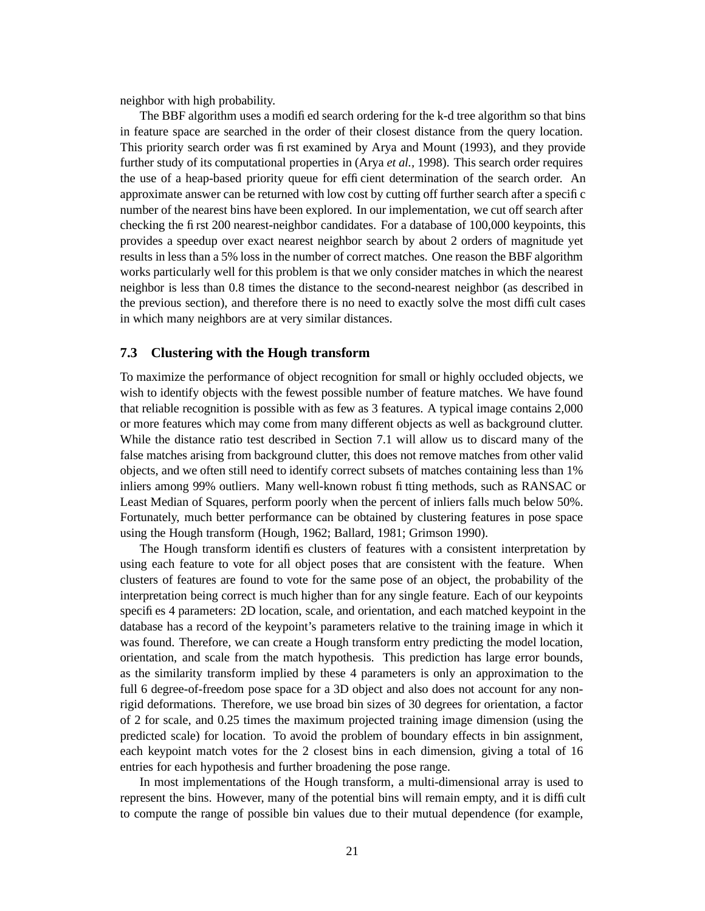neighbor with high probability.

The BBF algorithm uses a modified search ordering for the k-d tree algorithm so that bins in feature space are searched in the order of their closest distance from the query location. This priority search order was first examined by Arya and Mount (1993), and they provide further study of its computational properties in (Arya *et al.,* 1998). This search order requires the use of a heap-based priority queue for efficient determination of the search order. An approximate answer can be returned with low cost by cutting off further search after a specific number of the nearest bins have been explored. In our implementation, we cut off search after checking the first 200 nearest-neighbor candidates. For a database of 100,000 keypoints, this provides a speedup over exact nearest neighbor search by about 2 orders of magnitude yet results in less than a 5% loss in the number of correct matches. One reason the BBF algorithm works particularly well for this problem is that we only consider matches in which the nearest neighbor is less than 0.8 times the distance to the second-nearest neighbor (as described in the previous section), and therefore there is no need to exactly solve the most difficult cases in which many neighbors are at very similar distances.

#### **7.3 Clustering with the Hough transform**

To maximize the performance of object recognition for small or highly occluded objects, we wish to identify objects with the fewest possible number of feature matches. We have found that reliable recognition is possible with as few as 3 features. A typical image contains 2,000 or more features which may come from many different objects as well as background clutter. While the distance ratio test described in Section 7.1 will allow us to discard many of the false matches arising from background clutter, this does not remove matches from other valid objects, and we often still need to identify correct subsets of matches containing less than 1% inliers among 99% outliers. Many well-known robust fitting methods, such as RANSAC or Least Median of Squares, perform poorly when the percent of inliers falls much below 50%. Fortunately, much better performance can be obtained by clustering features in pose space using the Hough transform (Hough, 1962; Ballard, 1981; Grimson 1990).

The Hough transform identifies clusters of features with a consistent interpretation by using each feature to vote for all object poses that are consistent with the feature. When clusters of features are found to vote for the same pose of an object, the probability of the interpretation being correct is much higher than for any single feature. Each of our keypoints specifies 4 parameters: 2D location, scale, and orientation, and each matched keypoint in the database has a record of the keypoint's parameters relative to the training image in which it was found. Therefore, we can create a Hough transform entry predicting the model location, orientation, and scale from the match hypothesis. This prediction has large error bounds, as the similarity transform implied by these 4 parameters is only an approximation to the full 6 degree-of-freedom pose space for a 3D object and also does not account for any nonrigid deformations. Therefore, we use broad bin sizes of 30 degrees for orientation, a factor of 2 for scale, and 0.25 times the maximum projected training image dimension (using the predicted scale) for location. To avoid the problem of boundary effects in bin assignment, each keypoint match votes for the 2 closest bins in each dimension, giving a total of 16 entries for each hypothesis and further broadening the pose range.

In most implementations of the Hough transform, a multi-dimensional array is used to represent the bins. However, many of the potential bins will remain empty, and it is difficult to compute the range of possible bin values due to their mutual dependence (for example,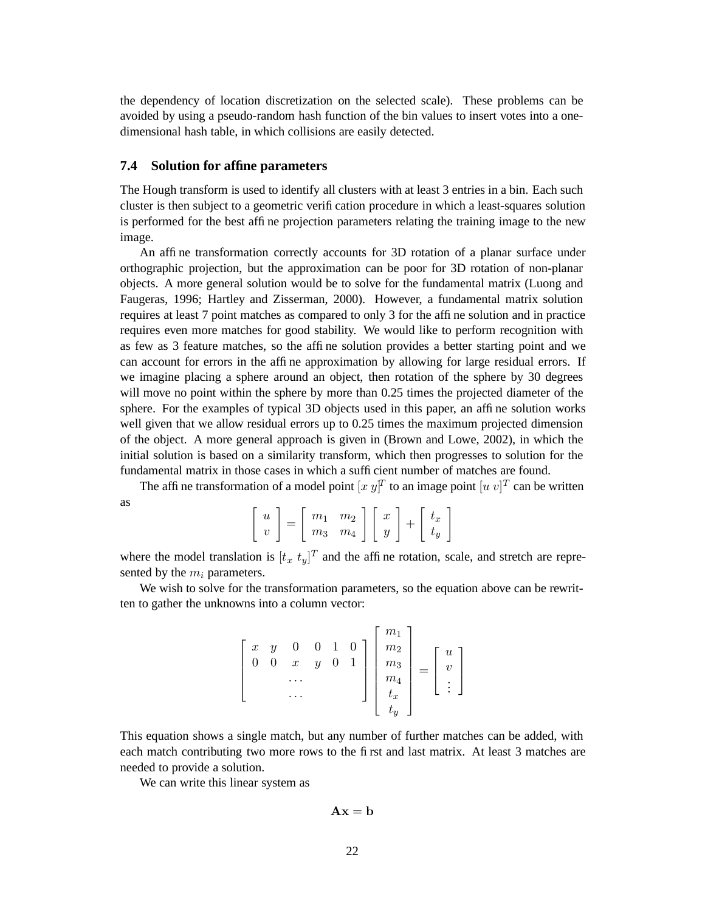the dependency of location discretization on the selected scale). These problems can be avoided by using a pseudo-random hash function of the bin values to insert votes into a onedimensional hash table, in which collisions are easily detected.

#### **7.4 Solution for affine parameters**

The Hough transform is used to identify all clusters with at least 3 entries in a bin. Each such cluster is then subject to a geometric verification procedure in which a least-squares solution is performed for the best affine projection parameters relating the training image to the new image.

An affine transformation correctly accounts for 3D rotation of a planar surface under orthographic projection, but the approximation can be poor for 3D rotation of non-planar objects. A more general solution would be to solve for the fundamental matrix (Luong and Faugeras, 1996; Hartley and Zisserman, 2000). However, a fundamental matrix solution requires at least 7 point matches as compared to only 3 for the affine solution and in practice requires even more matches for good stability. We would like to perform recognition with as few as 3 feature matches, so the affine solution provides a better starting point and we can account for errors in the affine approximation by allowing for large residual errors. If we imagine placing a sphere around an object, then rotation of the sphere by 30 degrees will move no point within the sphere by more than 0.25 times the projected diameter of the sphere. For the examples of typical 3D objects used in this paper, an affine solution works well given that we allow residual errors up to 0.25 times the maximum projected dimension of the object. A more general approach is given in (Brown and Lowe, 2002), in which the initial solution is based on a similarity transform, which then progresses to solution for the fundamental matrix in those cases in which a sufficient number of matches are found.

The affine transformation of a model point  $[x \, y]^T$  to an image point  $[u \, v]^T$  can be written as

| m <sub>1</sub> | m <sub>2</sub> | $\boldsymbol{x}$ | $t_x$ |
|----------------|----------------|------------------|-------|
| $m_3$          | $\sqrt{m_4}$   | $\boldsymbol{y}$ | $t_y$ |

where the model translation is  $[t_x t_y]^T$  and the affine rotation, scale, and stretch are represented by the  $m_i$  parameters.

We wish to solve for the transformation parameters, so the equation above can be rewritten to gather the unknowns into a column vector:

$$
\begin{bmatrix} x & y & 0 & 0 & 1 & 0 \\ 0 & 0 & x & y & 0 & 1 \\ & & \cdots & & & \\ & & & \cdots & & \\ & & & & & \end{bmatrix} \begin{bmatrix} m_1 \\ m_2 \\ m_3 \\ m_4 \\ t_x \\ t_y \end{bmatrix} = \begin{bmatrix} u \\ v \\ v \\ \vdots \end{bmatrix}
$$

This equation shows a single match, but any number of further matches can be added, with each match contributing two more rows to the first and last matrix. At least 3 matches are needed to provide a solution.

We can write this linear system as

$$
\mathbf{A}\mathbf{x} = \mathbf{b}
$$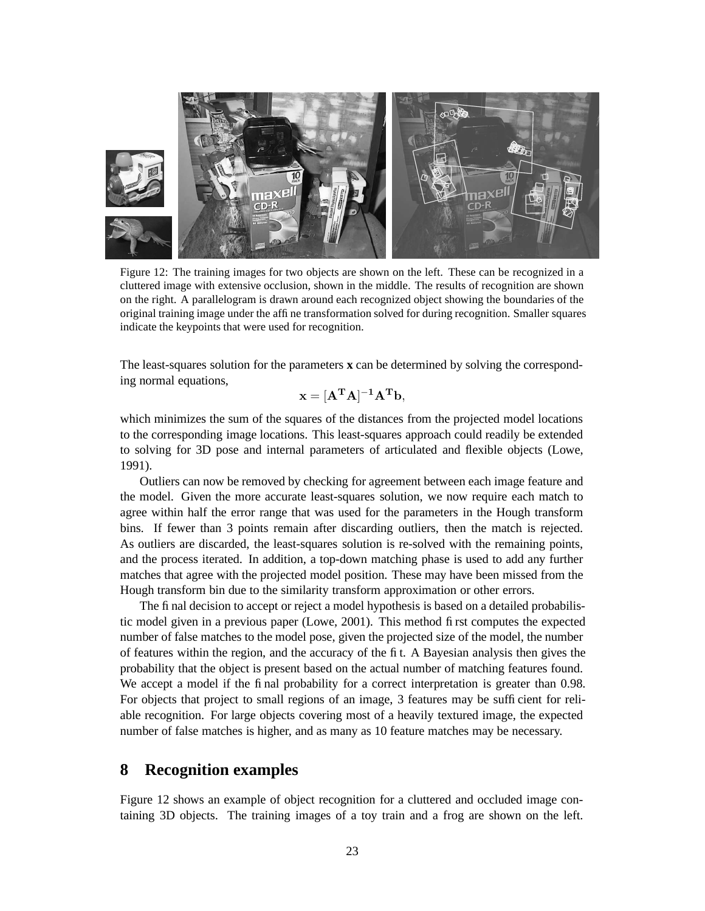

Figure 12: The training images for two objects are shown on the left. These can be recognized in a cluttered image with extensive occlusion, shown in the middle. The results of recognition are shown on the right. A parallelogram is drawn around each recognized object showing the boundaries of the original training image under the affine transformation solved for during recognition. Smaller squares indicate the keypoints that were used for recognition.

The least-squares solution for the parameters **x** can be determined by solving the corresponding normal equations,

$$
\mathbf{x} = [\mathbf{A}^{\mathbf{T}} \mathbf{A}]^{-1} \mathbf{A}^{\mathbf{T}} \mathbf{b},
$$

which minimizes the sum of the squares of the distances from the projected model locations to the corresponding image locations. This least-squares approach could readily be extended to solving for 3D pose and internal parameters of articulated and flexible objects (Lowe, 1991).

Outliers can now be removed by checking for agreement between each image feature and the model. Given the more accurate least-squares solution, we now require each match to agree within half the error range that was used for the parameters in the Hough transform bins. If fewer than 3 points remain after discarding outliers, then the match is rejected. As outliers are discarded, the least-squares solution is re-solved with the remaining points, and the process iterated. In addition, a top-down matching phase is used to add any further matches that agree with the projected model position. These may have been missed from the Hough transform bin due to the similarity transform approximation or other errors.

The final decision to accept or reject a model hypothesis is based on a detailed probabilistic model given in a previous paper (Lowe, 2001). This method first computes the expected number of false matches to the model pose, given the projected size of the model, the number of features within the region, and the accuracy of the fit. A Bayesian analysis then gives the probability that the object is present based on the actual number of matching features found. We accept a model if the final probability for a correct interpretation is greater than 0.98. For objects that project to small regions of an image, 3 features may be sufficient for reliable recognition. For large objects covering most of a heavily textured image, the expected number of false matches is higher, and as many as 10 feature matches may be necessary.

# **8 Recognition examples**

Figure 12 shows an example of object recognition for a cluttered and occluded image containing 3D objects. The training images of a toy train and a frog are shown on the left.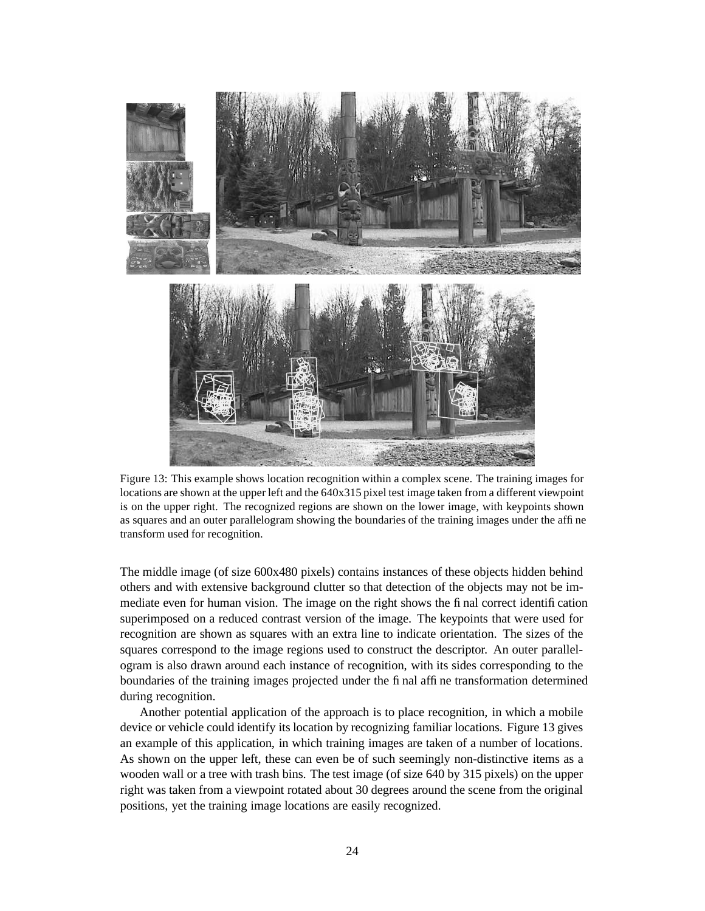

Figure 13: This example shows location recognition within a complex scene. The training images for locations are shown at the upper left and the 640x315 pixel test image taken from a different viewpoint is on the upper right. The recognized regions are shown on the lower image, with keypoints shown as squares and an outer parallelogram showing the boundaries of the training images under the affine transform used for recognition.

The middle image (of size 600x480 pixels) contains instances of these objects hidden behind others and with extensive background clutter so that detection of the objects may not be immediate even for human vision. The image on the right shows the final correct identification superimposed on a reduced contrast version of the image. The keypoints that were used for recognition are shown as squares with an extra line to indicate orientation. The sizes of the squares correspond to the image regions used to construct the descriptor. An outer parallelogram is also drawn around each instance of recognition, with its sides corresponding to the boundaries of the training images projected under the final affine transformation determined during recognition.

Another potential application of the approach is to place recognition, in which a mobile device or vehicle could identify its location by recognizing familiar locations. Figure 13 gives an example of this application, in which training images are taken of a number of locations. As shown on the upper left, these can even be of such seemingly non-distinctive items as a wooden wall or a tree with trash bins. The test image (of size 640 by 315 pixels) on the upper right was taken from a viewpoint rotated about 30 degrees around the scene from the original positions, yet the training image locations are easily recognized.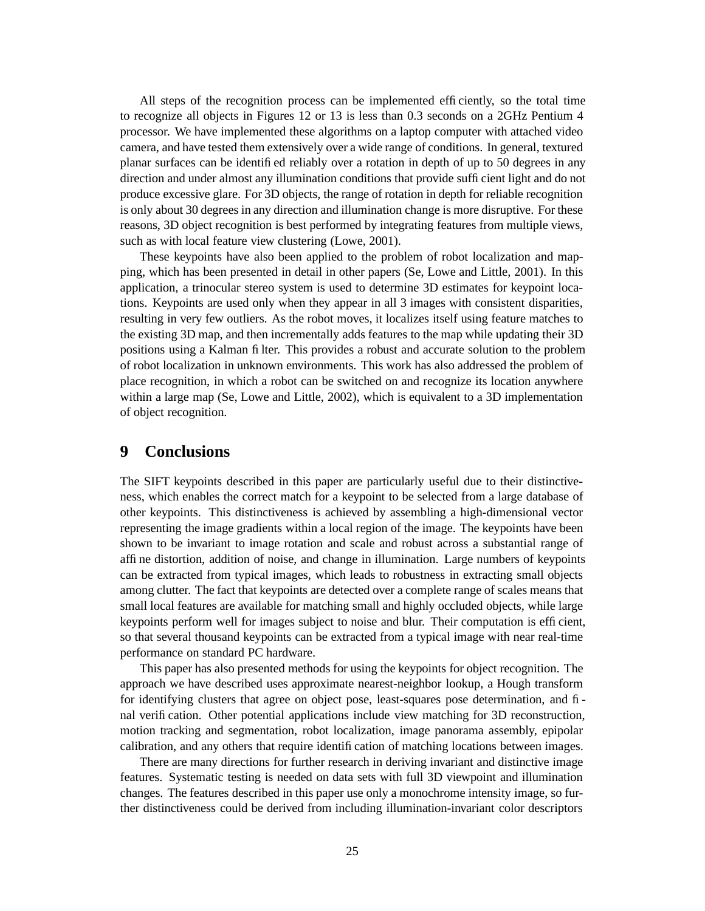All steps of the recognition process can be implemented efficiently, so the total time to recognize all objects in Figures 12 or 13 is less than 0.3 seconds on a 2GHz Pentium 4 processor. We have implemented these algorithms on a laptop computer with attached video camera, and have tested them extensively over a wide range of conditions. In general, textured planar surfaces can be identified reliably over a rotation in depth of up to 50 degrees in any direction and under almost any illumination conditions that provide sufficient light and do not produce excessive glare. For 3D objects, the range of rotation in depth for reliable recognition is only about 30 degrees in any direction and illumination change is more disruptive. For these reasons, 3D object recognition is best performed by integrating features from multiple views, such as with local feature view clustering (Lowe, 2001).

These keypoints have also been applied to the problem of robot localization and mapping, which has been presented in detail in other papers (Se, Lowe and Little, 2001). In this application, a trinocular stereo system is used to determine 3D estimates for keypoint locations. Keypoints are used only when they appear in all 3 images with consistent disparities, resulting in very few outliers. As the robot moves, it localizes itself using feature matches to the existing 3D map, and then incrementally adds features to the map while updating their 3D positions using a Kalman filter. This provides a robust and accurate solution to the problem of robot localization in unknown environments. This work has also addressed the problem of place recognition, in which a robot can be switched on and recognize its location anywhere within a large map (Se, Lowe and Little, 2002), which is equivalent to a 3D implementation of object recognition.

# **9 Conclusions**

The SIFT keypoints described in this paper are particularly useful due to their distinctiveness, which enables the correct match for a keypoint to be selected from a large database of other keypoints. This distinctiveness is achieved by assembling a high-dimensional vector representing the image gradients within a local region of the image. The keypoints have been shown to be invariant to image rotation and scale and robust across a substantial range of affine distortion, addition of noise, and change in illumination. Large numbers of keypoints can be extracted from typical images, which leads to robustness in extracting small objects among clutter. The fact that keypoints are detected over a complete range of scales means that small local features are available for matching small and highly occluded objects, while large keypoints perform well for images subject to noise and blur. Their computation is efficient, so that several thousand keypoints can be extracted from a typical image with near real-time performance on standard PC hardware.

This paper has also presented methods for using the keypoints for object recognition. The approach we have described uses approximate nearest-neighbor lookup, a Hough transform for identifying clusters that agree on object pose, least-squares pose determination, and final verification. Other potential applications include view matching for 3D reconstruction, motion tracking and segmentation, robot localization, image panorama assembly, epipolar calibration, and any others that require identification of matching locations between images.

There are many directions for further research in deriving invariant and distinctive image features. Systematic testing is needed on data sets with full 3D viewpoint and illumination changes. The features described in this paper use only a monochrome intensity image, so further distinctiveness could be derived from including illumination-invariant color descriptors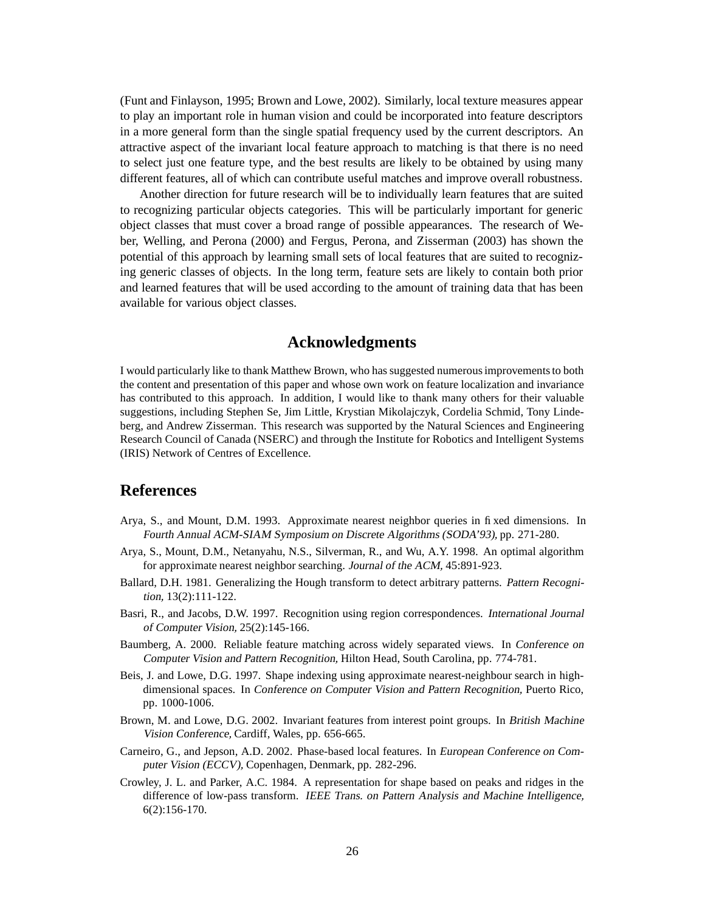(Funt and Finlayson, 1995; Brown and Lowe, 2002). Similarly, local texture measures appear to play an important role in human vision and could be incorporated into feature descriptors in a more general form than the single spatial frequency used by the current descriptors. An attractive aspect of the invariant local feature approach to matching is that there is no need to select just one feature type, and the best results are likely to be obtained by using many different features, all of which can contribute useful matches and improve overall robustness.

Another direction for future research will be to individually learn features that are suited to recognizing particular objects categories. This will be particularly important for generic object classes that must cover a broad range of possible appearances. The research of Weber, Welling, and Perona (2000) and Fergus, Perona, and Zisserman (2003) has shown the potential of this approach by learning small sets of local features that are suited to recognizing generic classes of objects. In the long term, feature sets are likely to contain both prior and learned features that will be used according to the amount of training data that has been available for various object classes.

### **Acknowledgments**

I would particularly like to thank Matthew Brown, who has suggested numerousimprovementsto both the content and presentation of this paper and whose own work on feature localization and invariance has contributed to this approach. In addition, I would like to thank many others for their valuable suggestions, including Stephen Se, Jim Little, Krystian Mikolajczyk, Cordelia Schmid, Tony Lindeberg, and Andrew Zisserman. This research was supported by the Natural Sciences and Engineering Research Council of Canada (NSERC) and through the Institute for Robotics and Intelligent Systems (IRIS) Network of Centres of Excellence.

# **References**

- Arya, S., and Mount, D.M. 1993. Approximate nearest neighbor queries in fixed dimensions. In Fourth Annual ACM-SIAM Symposium on Discrete Algorithms (SODA'93), pp. 271-280.
- Arya, S., Mount, D.M., Netanyahu, N.S., Silverman, R., and Wu, A.Y. 1998. An optimal algorithm for approximate nearest neighbor searching. Journal of the ACM, 45:891-923.
- Ballard, D.H. 1981. Generalizing the Hough transform to detect arbitrary patterns. Pattern Recognition, 13(2):111-122.
- Basri, R., and Jacobs, D.W. 1997. Recognition using region correspondences. International Journal of Computer Vision, 25(2):145-166.
- Baumberg, A. 2000. Reliable feature matching across widely separated views. In Conference on Computer Vision and Pattern Recognition, Hilton Head, South Carolina, pp. 774-781.
- Beis, J. and Lowe, D.G. 1997. Shape indexing using approximate nearest-neighbour search in highdimensional spaces. In Conference on Computer Vision and Pattern Recognition, Puerto Rico, pp. 1000-1006.
- Brown, M. and Lowe, D.G. 2002. Invariant features from interest point groups. In British Machine Vision Conference, Cardiff, Wales, pp. 656-665.
- Carneiro, G., and Jepson, A.D. 2002. Phase-based local features. In European Conference on Computer Vision (ECCV), Copenhagen, Denmark, pp. 282-296.
- Crowley, J. L. and Parker, A.C. 1984. A representation for shape based on peaks and ridges in the difference of low-pass transform. IEEE Trans. on Pattern Analysis and Machine Intelligence, 6(2):156-170.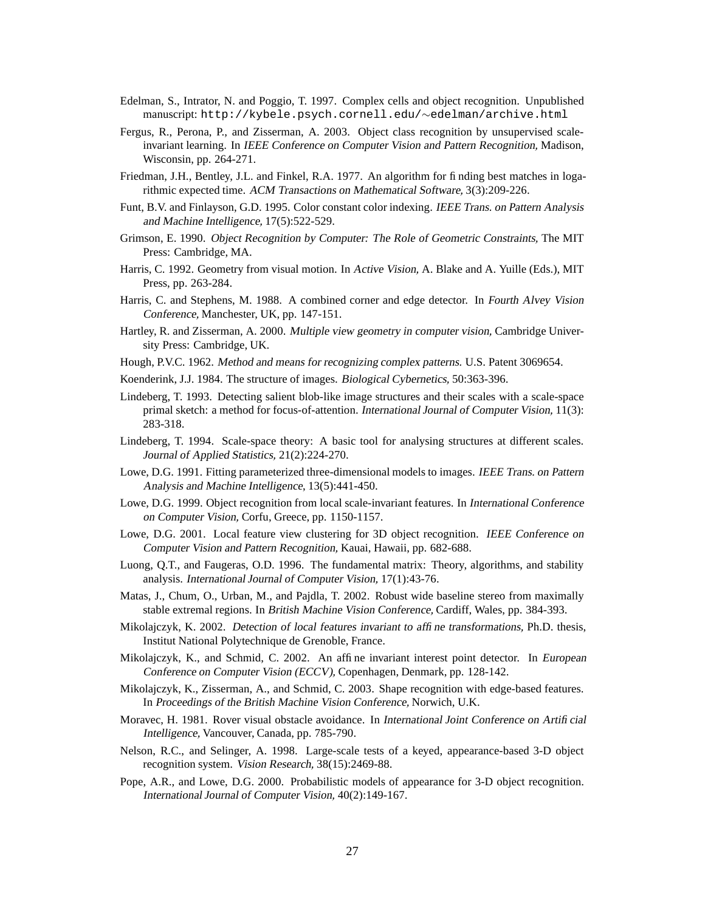- Edelman, S., Intrator, N. and Poggio, T. 1997. Complex cells and object recognition. Unpublished manuscript: http://kybele.psych.cornell.edu/∼edelman/archive.html
- Fergus, R., Perona, P., and Zisserman, A. 2003. Object class recognition by unsupervised scaleinvariant learning. In IEEE Conference on Computer Vision and Pattern Recognition, Madison, Wisconsin, pp. 264-271.
- Friedman, J.H., Bentley, J.L. and Finkel, R.A. 1977. An algorithm for finding best matches in logarithmic expected time. ACM Transactions on Mathematical Software, 3(3):209-226.
- Funt, B.V. and Finlayson, G.D. 1995. Color constant color indexing. IEEE Trans. on Pattern Analysis and Machine Intelligence, 17(5):522-529.
- Grimson, E. 1990. Object Recognition by Computer: The Role of Geometric Constraints, The MIT Press: Cambridge, MA.
- Harris, C. 1992. Geometry from visual motion. In Active Vision, A. Blake and A. Yuille (Eds.), MIT Press, pp. 263-284.
- Harris, C. and Stephens, M. 1988. A combined corner and edge detector. In Fourth Alvey Vision Conference, Manchester, UK, pp. 147-151.
- Hartley, R. and Zisserman, A. 2000. Multiple view geometry in computer vision, Cambridge University Press: Cambridge, UK.
- Hough, P.V.C. 1962. Method and means for recognizing complex patterns. U.S. Patent 3069654.
- Koenderink, J.J. 1984. The structure of images. Biological Cybernetics, 50:363-396.
- Lindeberg, T. 1993. Detecting salient blob-like image structures and their scales with a scale-space primal sketch: a method for focus-of-attention. International Journal of Computer Vision, 11(3): 283-318.
- Lindeberg, T. 1994. Scale-space theory: A basic tool for analysing structures at different scales. Journal of Applied Statistics, 21(2):224-270.
- Lowe, D.G. 1991. Fitting parameterized three-dimensional models to images. IEEE Trans. on Pattern Analysis and Machine Intelligence, 13(5):441-450.
- Lowe, D.G. 1999. Object recognition from local scale-invariant features. In International Conference on Computer Vision, Corfu, Greece, pp. 1150-1157.
- Lowe, D.G. 2001. Local feature view clustering for 3D object recognition. IEEE Conference on Computer Vision and Pattern Recognition, Kauai, Hawaii, pp. 682-688.
- Luong, Q.T., and Faugeras, O.D. 1996. The fundamental matrix: Theory, algorithms, and stability analysis. International Journal of Computer Vision, 17(1):43-76.
- Matas, J., Chum, O., Urban, M., and Pajdla, T. 2002. Robust wide baseline stereo from maximally stable extremal regions. In British Machine Vision Conference, Cardiff, Wales, pp. 384-393.
- Mikolajczyk, K. 2002. Detection of local features invariant to affine transformations, Ph.D. thesis, Institut National Polytechnique de Grenoble, France.
- Mikolajczyk, K., and Schmid, C. 2002. An affine invariant interest point detector. In European Conference on Computer Vision (ECCV), Copenhagen, Denmark, pp. 128-142.
- Mikolajczyk, K., Zisserman, A., and Schmid, C. 2003. Shape recognition with edge-based features. In Proceedings of the British Machine Vision Conference, Norwich, U.K.
- Moravec, H. 1981. Rover visual obstacle avoidance. In International Joint Conference on Artificial Intelligence, Vancouver, Canada, pp. 785-790.
- Nelson, R.C., and Selinger, A. 1998. Large-scale tests of a keyed, appearance-based 3-D object recognition system. Vision Research, 38(15):2469-88.
- Pope, A.R., and Lowe, D.G. 2000. Probabilistic models of appearance for 3-D object recognition. International Journal of Computer Vision, 40(2):149-167.